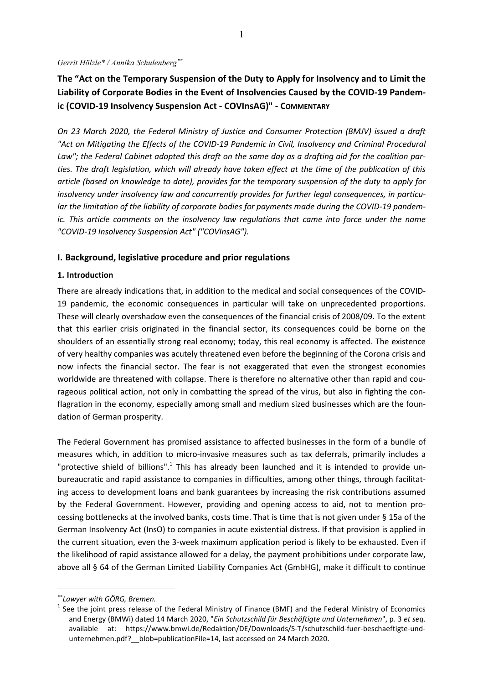#### *Gerrit Hölzle\* / Annika Schulenberg*∗∗

**The "Act on the Temporary Suspension of the Duty to Apply for Insolvency and to Limit the Liability of Corporate Bodies in the Event of Insolvencies Caused by the COVID-19 Pandemic (COVID-19 Insolvency Suspension Act - COVInsAG)" - COMMENTARY**

*On 23 March 2020, the Federal Ministry of Justice and Consumer Protection (BMJV) issued a draft "Act on Mitigating the Effects of the COVID-19 Pandemic in Civil, Insolvency and Criminal Procedural Law"; the Federal Cabinet adopted this draft on the same day as a drafting aid for the coalition parties. The draft legislation, which will already have taken effect at the time of the publication of this article (based on knowledge to date), provides for the temporary suspension of the duty to apply for insolvency under insolvency law and concurrently provides for further legal consequences, in particular the limitation of the liability of corporate bodies for payments made during the COVID-19 pandemic. This article comments on the insolvency law regulations that came into force under the name "COVID-19 Insolvency Suspension Act" ("COVInsAG").* 

### **I. Background, legislative procedure and prior regulations**

#### **1. Introduction**

There are already indications that, in addition to the medical and social consequences of the COVID-19 pandemic, the economic consequences in particular will take on unprecedented proportions. These will clearly overshadow even the consequences of the financial crisis of 2008/09. To the extent that this earlier crisis originated in the financial sector, its consequences could be borne on the shoulders of an essentially strong real economy; today, this real economy is affected. The existence of very healthy companies was acutely threatened even before the beginning of the Corona crisis and now infects the financial sector. The fear is not exaggerated that even the strongest economies worldwide are threatened with collapse. There is therefore no alternative other than rapid and courageous political action, not only in combatting the spread of the virus, but also in fighting the conflagration in the economy, especially among small and medium sized businesses which are the foundation of German prosperity.

The Federal Government has promised assistance to affected businesses in the form of a bundle of measures which, in addition to micro-invasive measures such as tax deferrals, primarily includes a "protective shield of billions".<sup>1</sup> This has already been launched and it is intended to provide unbureaucratic and rapid assistance to companies in difficulties, among other things, through facilitating access to development loans and bank guarantees by increasing the risk contributions assumed by the Federal Government. However, providing and opening access to aid, not to mention processing bottlenecks at the involved banks, costs time. That is time that is not given under § 15a of the German Insolvency Act (InsO) to companies in acute existential distress. If that provision is applied in the current situation, even the 3-week maximum application period is likely to be exhausted. Even if the likelihood of rapid assistance allowed for a delay, the payment prohibitions under corporate law, above all § 64 of the German Limited Liability Companies Act (GmbHG), make it difficult to continue

<sup>∗∗</sup>*Lawyer with GÖRG, Bremen.*

 $<sup>1</sup>$  See the joint press release of the Federal Ministry of Finance (BMF) and the Federal Ministry of Economics</sup> and Energy (BMWi) dated 14 March 2020, "*Ein Schutzschild für Beschäftigte und Unternehmen*", p. 3 *et seq*. available at: https://www.bmwi.de/Redaktion/DE/Downloads/S-T/schutzschild-fuer-beschaeftigte-undunternehmen.pdf? blob=publicationFile=14, last accessed on 24 March 2020.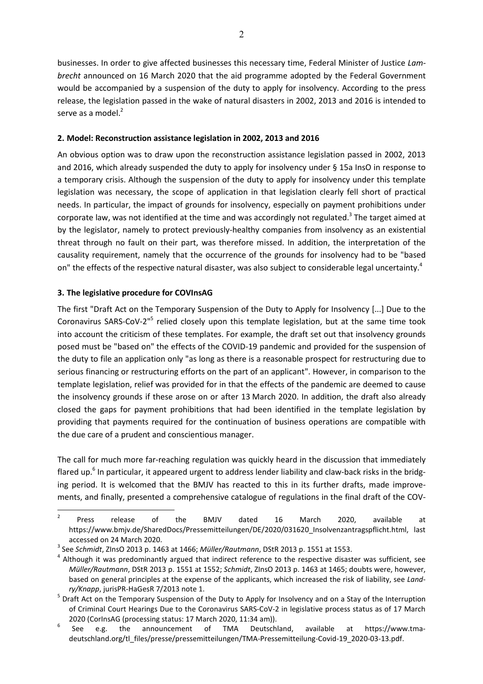businesses. In order to give affected businesses this necessary time, Federal Minister of Justice *Lambrecht* announced on 16 March 2020 that the aid programme adopted by the Federal Government would be accompanied by a suspension of the duty to apply for insolvency. According to the press release, the legislation passed in the wake of natural disasters in 2002, 2013 and 2016 is intended to serve as a model. $<sup>2</sup>$ </sup>

### **2. Model: Reconstruction assistance legislation in 2002, 2013 and 2016**

An obvious option was to draw upon the reconstruction assistance legislation passed in 2002, 2013 and 2016, which already suspended the duty to apply for insolvency under § 15a InsO in response to a temporary crisis. Although the suspension of the duty to apply for insolvency under this template legislation was necessary, the scope of application in that legislation clearly fell short of practical needs. In particular, the impact of grounds for insolvency, especially on payment prohibitions under corporate law, was not identified at the time and was accordingly not regulated.<sup>3</sup> The target aimed at by the legislator, namely to protect previously-healthy companies from insolvency as an existential threat through no fault on their part, was therefore missed. In addition, the interpretation of the causality requirement, namely that the occurrence of the grounds for insolvency had to be "based on" the effects of the respective natural disaster, was also subject to considerable legal uncertainty.<sup>4</sup>

## **3. The legislative procedure for COVInsAG**

The first "Draft Act on the Temporary Suspension of the Duty to Apply for Insolvency [...] Due to the Coronavirus SARS-CoV-2<sup>"5</sup> relied closely upon this template legislation, but at the same time took into account the criticism of these templates. For example, the draft set out that insolvency grounds posed must be "based on" the effects of the COVID-19 pandemic and provided for the suspension of the duty to file an application only "as long as there is a reasonable prospect for restructuring due to serious financing or restructuring efforts on the part of an applicant". However, in comparison to the template legislation, relief was provided for in that the effects of the pandemic are deemed to cause the insolvency grounds if these arose on or after 13 March 2020. In addition, the draft also already closed the gaps for payment prohibitions that had been identified in the template legislation by providing that payments required for the continuation of business operations are compatible with the due care of a prudent and conscientious manager.

The call for much more far-reaching regulation was quickly heard in the discussion that immediately flared up.<sup>6</sup> In particular, it appeared urgent to address lender liability and claw-back risks in the bridging period. It is welcomed that the BMJV has reacted to this in its further drafts, made improvements, and finally, presented a comprehensive catalogue of regulations in the final draft of the COV-

 $\overline{2}$  Press release of the BMJV dated 16 March 2020, available at https://www.bmjv.de/SharedDocs/Pressemitteilungen/DE/2020/031620\_Insolvenzantragspflicht.html, last accessed on 24 March 2020.<br> $3\text{Sos}$  Schmidt, ZinsO 2012 p. 146

See *Schmidt*, ZInsO 2013 p. 1463 at 1466; *Müller/Rautmann*, DStR 2013 p. 1551 at 1553. 4

 $4$  Although it was predominantly argued that indirect reference to the respective disaster was sufficient, see *Müller/Rautmann*, DStR 2013 p. 1551 at 1552; *Schmidt*, ZInsO 2013 p. 1463 at 1465; doubts were, however, based on general principles at the expense of the applicants, which increased the risk of liability, see *Landry/Knapp*, jurisPR-HaGesR 7/2013 note 1. 5

<sup>&</sup>lt;sup>5</sup> Draft Act on the Temporary Suspension of the Duty to Apply for Insolvency and on a Stay of the Interruption of Criminal Court Hearings Due to the Coronavirus SARS-CoV-2 in legislative process status as of 17 March

<sup>2020 (</sup>CorlnsAG (processing status: 17 March 2020, 11:34 am)).<br>  $6$  See e.g. the announcement of TMA Deutschland, announcement of TMA Deutschland, available at https://www.tmadeutschland.org/tl\_files/presse/pressemitteilungen/TMA-Pressemitteilung-Covid-19\_2020-03-13.pdf.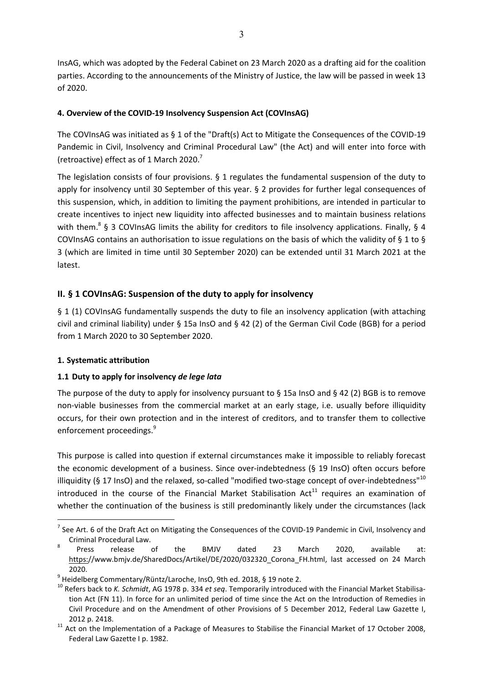InsAG, which was adopted by the Federal Cabinet on 23 March 2020 as a drafting aid for the coalition parties. According to the announcements of the Ministry of Justice, the law will be passed in week 13 of 2020.

## **4. Overview of the COVID-19 Insolvency Suspension Act (COVInsAG)**

The COVInsAG was initiated as § 1 of the "Draft(s) Act to Mitigate the Consequences of the COVID-19 Pandemic in Civil, Insolvency and Criminal Procedural Law" (the Act) and will enter into force with (retroactive) effect as of 1 March 2020.<sup>7</sup>

The legislation consists of four provisions.  $\S 1$  regulates the fundamental suspension of the duty to apply for insolvency until 30 September of this year. § 2 provides for further legal consequences of this suspension, which, in addition to limiting the payment prohibitions, are intended in particular to create incentives to inject new liquidity into affected businesses and to maintain business relations with them.<sup>8</sup> § 3 COVInsAG limits the ability for creditors to file insolvency applications. Finally, § 4 COVInsAG contains an authorisation to issue regulations on the basis of which the validity of § 1 to § 3 (which are limited in time until 30 September 2020) can be extended until 31 March 2021 at the latest.

## **II. § 1 COVInsAG: Suspension of the duty to apply for insolvency**

§ 1 (1) COVInsAG fundamentally suspends the duty to file an insolvency application (with attaching civil and criminal liability) under § 15a InsO and § 42 (2) of the German Civil Code (BGB) for a period from 1 March 2020 to 30 September 2020.

## **1. Systematic attribution**

 $\overline{a}$ 

## **1.1 Duty to apply for insolvency** *de lege lata*

The purpose of the duty to apply for insolvency pursuant to  $\S$  15a InsO and  $\S$  42 (2) BGB is to remove non-viable businesses from the commercial market at an early stage, i.e. usually before illiquidity occurs, for their own protection and in the interest of creditors, and to transfer them to collective enforcement proceedings.<sup>9</sup>

This purpose is called into question if external circumstances make it impossible to reliably forecast the economic development of a business. Since over-indebtedness (§ 19 InsO) often occurs before illiquidity (§ 17 InsO) and the relaxed, so-called "modified two-stage concept of over-indebtedness" $^{10}$ introduced in the course of the Financial Market Stabilisation  $Act<sup>11</sup>$  requires an examination of whether the continuation of the business is still predominantly likely under the circumstances (lack

 $^7$  See Art. 6 of the Draft Act on Mitigating the Consequences of the COVID-19 Pandemic in Civil, Insolvency and Criminal Procedural Law.<br>Press release of

Press release of the BMJV dated 23 March 2020, available at: https://www.bmjv.de/SharedDocs/Artikel/DE/2020/032320 Corona FH.html, last accessed on 24 March

<sup>2020. 9</sup> Heidelberg Commentary/Rüntz/Laroche, InsO, 9th ed. 2018, § 19 note 2.

<sup>10</sup> Refers back to *K. Schmidt*, AG 1978 p. 334 *et seq*. Temporarily introduced with the Financial Market Stabilisation Act (FN 11). In force for an unlimited period of time since the Act on the Introduction of Remedies in Civil Procedure and on the Amendment of other Provisions of 5 December 2012, Federal Law Gazette I,

<sup>2012</sup> p. 2418.<br><sup>11</sup> Act on the Implementation of a Package of Measures to Stabilise the Financial Market of 17 October 2008, Federal Law Gazette I p. 1982.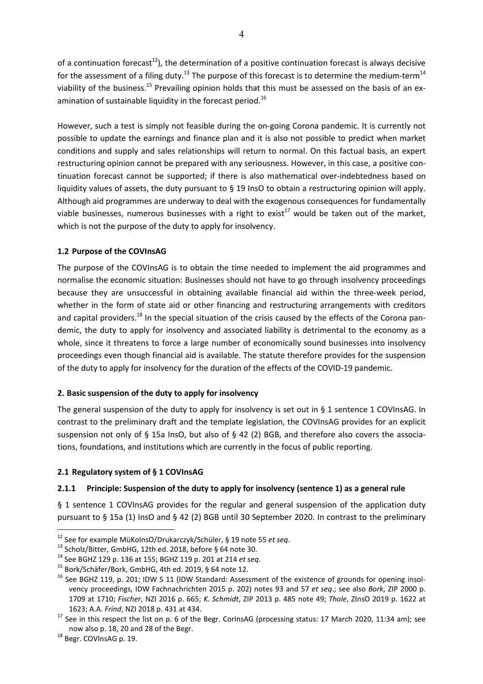of a continuation forecast<sup>12</sup>), the determination of a positive continuation forecast is always decisive for the assessment of a filing duty.<sup>13</sup> The purpose of this forecast is to determine the medium-term<sup>14</sup> viability of the business.<sup>15</sup> Prevailing opinion holds that this must be assessed on the basis of an examination of sustainable liquidity in the forecast period.<sup>16</sup>

However, such a test is simply not feasible during the on-going Corona pandemic. It is currently not possible to update the earnings and finance plan and it is also not possible to predict when market conditions and supply and sales relationships will return to normal. On this factual basis, an expert restructuring opinion cannot be prepared with any seriousness. However, in this case, a positive continuation forecast cannot be supported; if there is also mathematical over-indebtedness based on liquidity values of assets, the duty pursuant to § 19 InsO to obtain a restructuring opinion will apply. Although aid programmes are underway to deal with the exogenous consequences for fundamentally viable businesses, numerous businesses with a right to exist<sup>17</sup> would be taken out of the market, which is not the purpose of the duty to apply for insolvency.

## **1.2 Purpose of the COVInsAG**

The purpose of the COVInsAG is to obtain the time needed to implement the aid programmes and normalise the economic situation: Businesses should not have to go through insolvency proceedings because they are unsuccessful in obtaining available financial aid within the three-week period, whether in the form of state aid or other financing and restructuring arrangements with creditors and capital providers.<sup>18</sup> In the special situation of the crisis caused by the effects of the Corona pandemic, the duty to apply for insolvency and associated liability is detrimental to the economy as a whole, since it threatens to force a large number of economically sound businesses into insolvency proceedings even though financial aid is available. The statute therefore provides for the suspension of the duty to apply for insolvency for the duration of the effects of the COVID-19 pandemic.

## **2. Basic suspension of the duty to apply for insolvency**

The general suspension of the duty to apply for insolvency is set out in  $\S$  1 sentence 1 COVInsAG. In contrast to the preliminary draft and the template legislation, the COVInsAG provides for an explicit suspension not only of § 15a InsO, but also of § 42 (2) BGB, and therefore also covers the associations, foundations, and institutions which are currently in the focus of public reporting.

## **2.1 Regulatory system of § 1 COVInsAG**

## **2.1.1 Principle: Suspension of the duty to apply for insolvency (sentence 1) as a general rule**

§ 1 sentence 1 COVInsAG provides for the regular and general suspension of the application duty pursuant to § 15a (1) InsO and § 42 (2) BGB until 30 September 2020. In contrast to the preliminary

<sup>&</sup>lt;sup>12</sup> See for example MüKoInsO/Drukarczyk/Schüler, § 19 note 55 *et seq.*<br><sup>13</sup> Scholz/Bitter, GmbHG, 12th ed. 2018, before § 64 note 30.

<sup>&</sup>lt;sup>13</sup> Scholz/Bitter, GmbHG, 12th ed. 2018, before § 64 note 30.<br><sup>14</sup> See BGHZ 129 p. 136 at 155; BGHZ 119 p. 201 at 214 *et seq.* <sup>15</sup> Bork/Schäfer/Bork, GmbHG, 4th ed. 2019, § 64 note 12.

<sup>&</sup>lt;sup>16</sup> See BGHZ 119, p. 201; IDW S 11 (IDW Standard: Assessment of the existence of grounds for opening insolvency proceedings, IDW Fachnachrichten 2015 p. 202) notes 93 and 57 *et seq*.; see also *Bork*, ZIP 2000 p. 1709 at 1710; *Fischer*, NZI 2016 p. 665; *K. Schmidt*, ZIP 2013 p. 485 note 49; *Thole*, ZInsO 2019 p. 1622 at

<sup>&</sup>lt;sup>17</sup> See in this respect the list on p. 6 of the Begr. CorInsAG (processing status: 17 March 2020, 11:34 am); see now also p. 18, 20 and 28 of the Begr.<br><sup>18</sup> Begr. COVInsAG p. 19.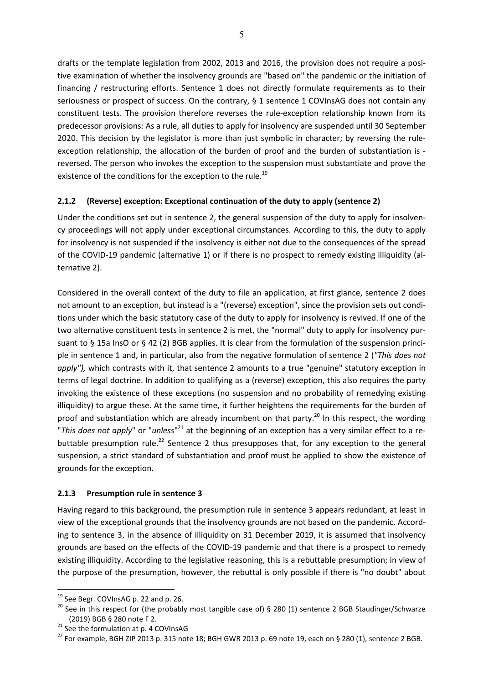drafts or the template legislation from 2002, 2013 and 2016, the provision does not require a positive examination of whether the insolvency grounds are "based on" the pandemic or the initiation of financing / restructuring efforts. Sentence 1 does not directly formulate requirements as to their seriousness or prospect of success. On the contrary, § 1 sentence 1 COVInsAG does not contain any constituent tests. The provision therefore reverses the rule-exception relationship known from its predecessor provisions: As a rule, all duties to apply for insolvency are suspended until 30 September 2020. This decision by the legislator is more than just symbolic in character; by reversing the ruleexception relationship, the allocation of the burden of proof and the burden of substantiation is reversed. The person who invokes the exception to the suspension must substantiate and prove the existence of the conditions for the exception to the rule.<sup>19</sup>

## **2.1.2 (Reverse) exception: Exceptional continuation of the duty to apply (sentence 2)**

Under the conditions set out in sentence 2, the general suspension of the duty to apply for insolvency proceedings will not apply under exceptional circumstances. According to this, the duty to apply for insolvency is not suspended if the insolvency is either not due to the consequences of the spread of the COVID-19 pandemic (alternative 1) or if there is no prospect to remedy existing illiquidity (alternative 2).

Considered in the overall context of the duty to file an application, at first glance, sentence 2 does not amount to an exception, but instead is a "(reverse) exception", since the provision sets out conditions under which the basic statutory case of the duty to apply for insolvency is revived. If one of the two alternative constituent tests in sentence 2 is met, the "normal" duty to apply for insolvency pursuant to § 15a InsO or § 42 (2) BGB applies. It is clear from the formulation of the suspension principle in sentence 1 and, in particular, also from the negative formulation of sentence 2 (*"This does not apply"),* which contrasts with it, that sentence 2 amounts to a true "genuine" statutory exception in terms of legal doctrine. In addition to qualifying as a (reverse) exception, this also requires the party invoking the existence of these exceptions (no suspension and no probability of remedying existing illiquidity) to argue these. At the same time, it further heightens the requirements for the burden of proof and substantiation which are already incumbent on that party.<sup>20</sup> In this respect, the wording "*This does not apply*" or "*unless*" 21 at the beginning of an exception has a very similar effect to a rebuttable presumption rule.<sup>22</sup> Sentence 2 thus presupposes that, for any exception to the general suspension, a strict standard of substantiation and proof must be applied to show the existence of grounds for the exception.

## **2.1.3 Presumption rule in sentence 3**

Having regard to this background, the presumption rule in sentence 3 appears redundant, at least in view of the exceptional grounds that the insolvency grounds are not based on the pandemic. According to sentence 3, in the absence of illiquidity on 31 December 2019, it is assumed that insolvency grounds are based on the effects of the COVID-19 pandemic and that there is a prospect to remedy existing illiquidity. According to the legislative reasoning, this is a rebuttable presumption; in view of the purpose of the presumption, however, the rebuttal is only possible if there is "no doubt" about

<sup>&</sup>lt;sup>19</sup> See Begr. COVInsAG p. 22 and p. 26.

 $20$  See in this respect for (the probably most tangible case of) § 280 (1) sentence 2 BGB Staudinger/Schwarze (2019) BGB § 280 note F 2.<br><sup>21</sup> See the formulation at p. 4 COVInsAG

<sup>&</sup>lt;sup>22</sup> For example, BGH ZIP 2013 p. 315 note 18; BGH GWR 2013 p. 69 note 19, each on § 280 (1), sentence 2 BGB.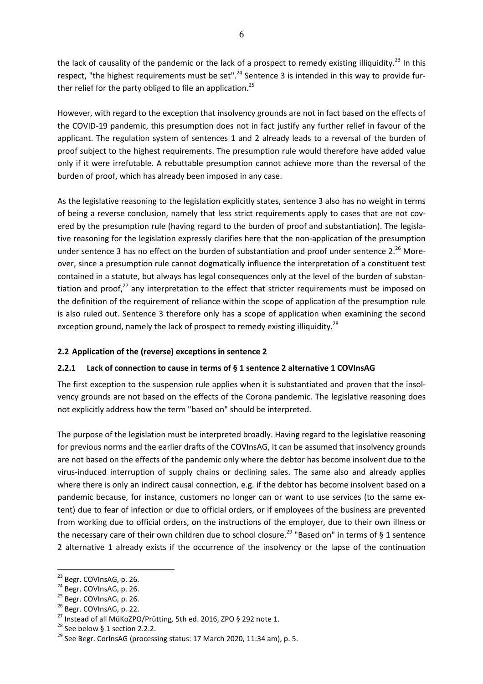the lack of causality of the pandemic or the lack of a prospect to remedy existing illiquidity.<sup>23</sup> In this respect, "the highest requirements must be set".<sup>24</sup> Sentence 3 is intended in this way to provide further relief for the party obliged to file an application.<sup>25</sup>

However, with regard to the exception that insolvency grounds are not in fact based on the effects of the COVID-19 pandemic, this presumption does not in fact justify any further relief in favour of the applicant. The regulation system of sentences 1 and 2 already leads to a reversal of the burden of proof subject to the highest requirements. The presumption rule would therefore have added value only if it were irrefutable. A rebuttable presumption cannot achieve more than the reversal of the burden of proof, which has already been imposed in any case.

As the legislative reasoning to the legislation explicitly states, sentence 3 also has no weight in terms of being a reverse conclusion, namely that less strict requirements apply to cases that are not covered by the presumption rule (having regard to the burden of proof and substantiation). The legislative reasoning for the legislation expressly clarifies here that the non-application of the presumption under sentence 3 has no effect on the burden of substantiation and proof under sentence  $2.^{26}$  Moreover, since a presumption rule cannot dogmatically influence the interpretation of a constituent test contained in a statute, but always has legal consequences only at the level of the burden of substantiation and proof, $27$  any interpretation to the effect that stricter requirements must be imposed on the definition of the requirement of reliance within the scope of application of the presumption rule is also ruled out. Sentence 3 therefore only has a scope of application when examining the second exception ground, namely the lack of prospect to remedy existing illiquidity.<sup>28</sup>

## **2.2 Application of the (reverse) exceptions in sentence 2**

## **2.2.1 Lack of connection to cause in terms of § 1 sentence 2 alternative 1 COVInsAG**

The first exception to the suspension rule applies when it is substantiated and proven that the insolvency grounds are not based on the effects of the Corona pandemic. The legislative reasoning does not explicitly address how the term "based on" should be interpreted.

The purpose of the legislation must be interpreted broadly. Having regard to the legislative reasoning for previous norms and the earlier drafts of the COVInsAG, it can be assumed that insolvency grounds are not based on the effects of the pandemic only where the debtor has become insolvent due to the virus-induced interruption of supply chains or declining sales. The same also and already applies where there is only an indirect causal connection, e.g. if the debtor has become insolvent based on a pandemic because, for instance, customers no longer can or want to use services (to the same extent) due to fear of infection or due to official orders, or if employees of the business are prevented from working due to official orders, on the instructions of the employer, due to their own illness or the necessary care of their own children due to school closure.<sup>29</sup> "Based on" in terms of § 1 sentence 2 alternative 1 already exists if the occurrence of the insolvency or the lapse of the continuation

<sup>&</sup>lt;sup>23</sup> Begr. COVInsAG, p. 26.

<sup>&</sup>lt;sup>24</sup> Begr. COVInsAG, p. 26.

<sup>&</sup>lt;sup>25</sup> Begr. COVInsAG, p. 26.

<sup>&</sup>lt;sup>26</sup> Begr. COVInsAG, p. 22.

<sup>&</sup>lt;sup>27</sup> Instead of all MüKoZPO/Prütting, 5th ed. 2016, ZPO § 292 note 1.<br><sup>28</sup> See below § 1 section 2.2.2.

<sup>&</sup>lt;sup>29</sup> See Begr. CorlnsAG (processing status: 17 March 2020, 11:34 am), p. 5.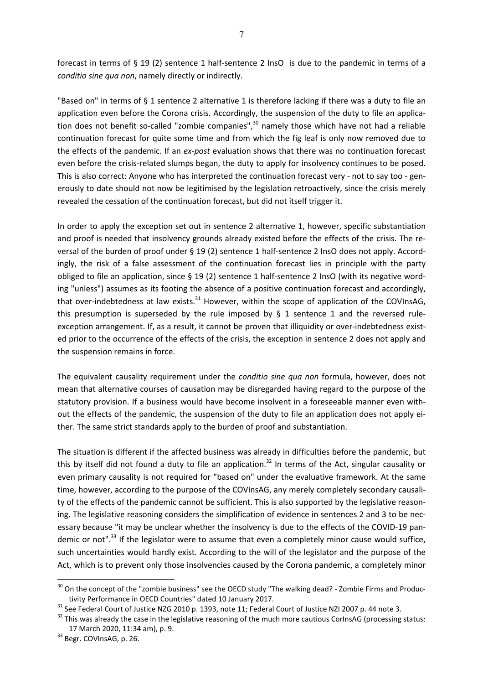forecast in terms of § 19 (2) sentence 1 half-sentence 2 InsO is due to the pandemic in terms of a *conditio sine qua non*, namely directly or indirectly.

"Based on" in terms of § 1 sentence 2 alternative 1 is therefore lacking if there was a duty to file an application even before the Corona crisis. Accordingly, the suspension of the duty to file an application does not benefit so-called "zombie companies", $30$  namely those which have not had a reliable continuation forecast for quite some time and from which the fig leaf is only now removed due to the effects of the pandemic. If an *ex-post* evaluation shows that there was no continuation forecast even before the crisis-related slumps began, the duty to apply for insolvency continues to be posed. This is also correct: Anyone who has interpreted the continuation forecast very - not to say too - generously to date should not now be legitimised by the legislation retroactively, since the crisis merely revealed the cessation of the continuation forecast, but did not itself trigger it.

In order to apply the exception set out in sentence 2 alternative 1, however, specific substantiation and proof is needed that insolvency grounds already existed before the effects of the crisis. The reversal of the burden of proof under § 19 (2) sentence 1 half-sentence 2 InsO does not apply. Accordingly, the risk of a false assessment of the continuation forecast lies in principle with the party obliged to file an application, since § 19 (2) sentence 1 half-sentence 2 InsO (with its negative wording "unless") assumes as its footing the absence of a positive continuation forecast and accordingly, that over-indebtedness at law exists. $31$  However, within the scope of application of the COVInsAG, this presumption is superseded by the rule imposed by  $\S$  1 sentence 1 and the reversed ruleexception arrangement. If, as a result, it cannot be proven that illiquidity or over-indebtedness existed prior to the occurrence of the effects of the crisis, the exception in sentence 2 does not apply and the suspension remains in force.

The equivalent causality requirement under the *conditio sine qua non* formula, however, does not mean that alternative courses of causation may be disregarded having regard to the purpose of the statutory provision. If a business would have become insolvent in a foreseeable manner even without the effects of the pandemic, the suspension of the duty to file an application does not apply either. The same strict standards apply to the burden of proof and substantiation.

The situation is different if the affected business was already in difficulties before the pandemic, but this by itself did not found a duty to file an application.<sup>32</sup> In terms of the Act, singular causality or even primary causality is not required for "based on" under the evaluative framework. At the same time, however, according to the purpose of the COVInsAG, any merely completely secondary causality of the effects of the pandemic cannot be sufficient. This is also supported by the legislative reasoning. The legislative reasoning considers the simplification of evidence in sentences 2 and 3 to be necessary because "it may be unclear whether the insolvency is due to the effects of the COVID-19 pandemic or not".<sup>33</sup> If the legislator were to assume that even a completely minor cause would suffice, such uncertainties would hardly exist. According to the will of the legislator and the purpose of the Act, which is to prevent only those insolvencies caused by the Corona pandemic, a completely minor

<sup>&</sup>lt;sup>30</sup> On the concept of the "zombie business" see the OECD study "The walking dead? - Zombie Firms and Productivity Performance in OECD Countries" dated 10 January 2017.<br><sup>31</sup> See Federal Court of Justice NZG 2010 p. 1393, note 11; Federal Court of Justice NZI 2007 p. 44 note 3.

 $32$  This was already the case in the legislative reasoning of the much more cautious CorInsAG (processing status: 17 March 2020, 11:34 am), p. 9. 33 Begr. COVInsAG, p. 26.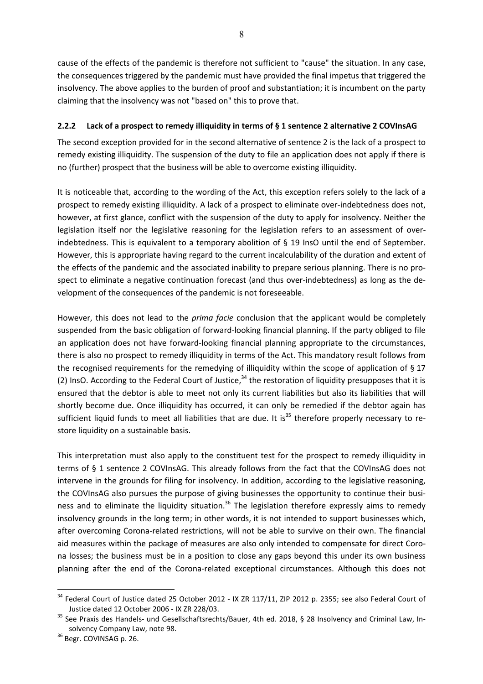cause of the effects of the pandemic is therefore not sufficient to "cause" the situation. In any case, the consequences triggered by the pandemic must have provided the final impetus that triggered the insolvency. The above applies to the burden of proof and substantiation; it is incumbent on the party claiming that the insolvency was not "based on" this to prove that.

## **2.2.2 Lack of a prospect to remedy illiquidity in terms of § 1 sentence 2 alternative 2 COVInsAG**

The second exception provided for in the second alternative of sentence 2 is the lack of a prospect to remedy existing illiquidity. The suspension of the duty to file an application does not apply if there is no (further) prospect that the business will be able to overcome existing illiquidity.

It is noticeable that, according to the wording of the Act, this exception refers solely to the lack of a prospect to remedy existing illiquidity. A lack of a prospect to eliminate over-indebtedness does not, however, at first glance, conflict with the suspension of the duty to apply for insolvency. Neither the legislation itself nor the legislative reasoning for the legislation refers to an assessment of overindebtedness. This is equivalent to a temporary abolition of § 19 InsO until the end of September. However, this is appropriate having regard to the current incalculability of the duration and extent of the effects of the pandemic and the associated inability to prepare serious planning. There is no prospect to eliminate a negative continuation forecast (and thus over-indebtedness) as long as the development of the consequences of the pandemic is not foreseeable.

However, this does not lead to the *prima facie* conclusion that the applicant would be completely suspended from the basic obligation of forward-looking financial planning. If the party obliged to file an application does not have forward-looking financial planning appropriate to the circumstances, there is also no prospect to remedy illiquidity in terms of the Act. This mandatory result follows from the recognised requirements for the remedying of illiquidity within the scope of application of § 17 (2) InsO. According to the Federal Court of Justice,  $34$  the restoration of liquidity presupposes that it is ensured that the debtor is able to meet not only its current liabilities but also its liabilities that will shortly become due. Once illiquidity has occurred, it can only be remedied if the debtor again has sufficient liquid funds to meet all liabilities that are due. It is<sup>35</sup> therefore properly necessary to restore liquidity on a sustainable basis.

This interpretation must also apply to the constituent test for the prospect to remedy illiquidity in terms of § 1 sentence 2 COVInsAG. This already follows from the fact that the COVInsAG does not intervene in the grounds for filing for insolvency. In addition, according to the legislative reasoning, the COVInsAG also pursues the purpose of giving businesses the opportunity to continue their business and to eliminate the liquidity situation.<sup>36</sup> The legislation therefore expressly aims to remedy insolvency grounds in the long term; in other words, it is not intended to support businesses which, after overcoming Corona-related restrictions, will not be able to survive on their own. The financial aid measures within the package of measures are also only intended to compensate for direct Corona losses; the business must be in a position to close any gaps beyond this under its own business planning after the end of the Corona-related exceptional circumstances. Although this does not

<sup>&</sup>lt;sup>34</sup> Federal Court of Justice dated 25 October 2012 - IX ZR 117/11, ZIP 2012 p. 2355; see also Federal Court of Justice dated 12 October 2006 - IX ZR 228/03.<br><sup>35</sup> See Praxis des Handels- und Gesellschaftsrechts/Bauer, 4th ed. 2018, § 28 Insolvency and Criminal Law, In-

solvency Company Law, note 98.<br><sup>36</sup> Begr. COVINSAG p. 26.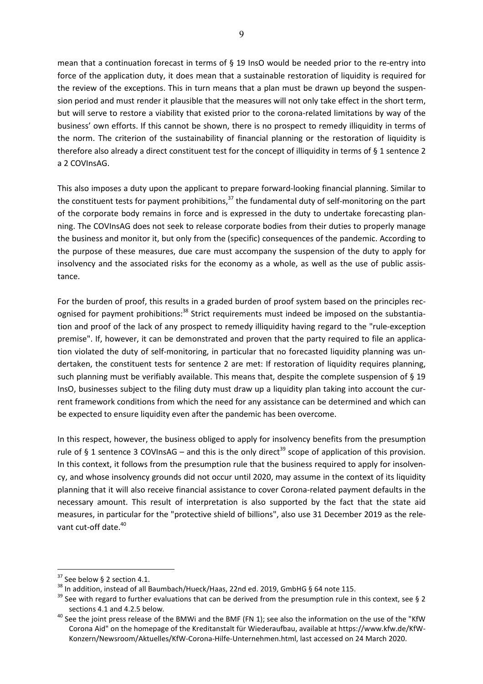mean that a continuation forecast in terms of § 19 InsO would be needed prior to the re-entry into force of the application duty, it does mean that a sustainable restoration of liquidity is required for the review of the exceptions. This in turn means that a plan must be drawn up beyond the suspension period and must render it plausible that the measures will not only take effect in the short term, but will serve to restore a viability that existed prior to the corona-related limitations by way of the business' own efforts. If this cannot be shown, there is no prospect to remedy illiquidity in terms of the norm. The criterion of the sustainability of financial planning or the restoration of liquidity is therefore also already a direct constituent test for the concept of illiquidity in terms of § 1 sentence 2 a 2 COVInsAG.

This also imposes a duty upon the applicant to prepare forward-looking financial planning. Similar to the constituent tests for payment prohibitions, $37$  the fundamental duty of self-monitoring on the part of the corporate body remains in force and is expressed in the duty to undertake forecasting planning. The COVInsAG does not seek to release corporate bodies from their duties to properly manage the business and monitor it, but only from the (specific) consequences of the pandemic. According to the purpose of these measures, due care must accompany the suspension of the duty to apply for insolvency and the associated risks for the economy as a whole, as well as the use of public assistance.

For the burden of proof, this results in a graded burden of proof system based on the principles recognised for payment prohibitions:<sup>38</sup> Strict requirements must indeed be imposed on the substantiation and proof of the lack of any prospect to remedy illiquidity having regard to the "rule-exception premise". If, however, it can be demonstrated and proven that the party required to file an application violated the duty of self-monitoring, in particular that no forecasted liquidity planning was undertaken, the constituent tests for sentence 2 are met: If restoration of liquidity requires planning, such planning must be verifiably available. This means that, despite the complete suspension of § 19 InsO, businesses subject to the filing duty must draw up a liquidity plan taking into account the current framework conditions from which the need for any assistance can be determined and which can be expected to ensure liquidity even after the pandemic has been overcome.

In this respect, however, the business obliged to apply for insolvency benefits from the presumption rule of § 1 sentence 3 COVInsAG – and this is the only direct<sup>39</sup> scope of application of this provision. In this context, it follows from the presumption rule that the business required to apply for insolvency, and whose insolvency grounds did not occur until 2020, may assume in the context of its liquidity planning that it will also receive financial assistance to cover Corona-related payment defaults in the necessary amount. This result of interpretation is also supported by the fact that the state aid measures, in particular for the "protective shield of billions", also use 31 December 2019 as the relevant cut-off date.<sup>40</sup>

 $37$  See below § 2 section 4.1.<br> $38$  In addition, instead of all Baumbach/Hueck/Haas, 22nd ed. 2019, GmbHG § 64 note 115.

 $39$  See with regard to further evaluations that can be derived from the presumption rule in this context, see § 2

sections 4.1 and 4.2.5 below.<br><sup>40</sup> See the joint press release of the BMWi and the BMF (FN 1); see also the information on the use of the "KfW Corona Aid" on the homepage of the Kreditanstalt für Wiederaufbau, available at https://www.kfw.de/KfW-Konzern/Newsroom/Aktuelles/KfW-Corona-Hilfe-Unternehmen.html, last accessed on 24 March 2020.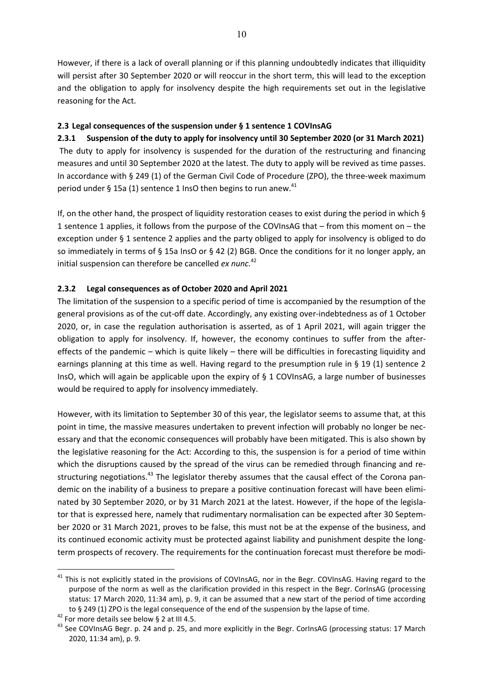However, if there is a lack of overall planning or if this planning undoubtedly indicates that illiquidity will persist after 30 September 2020 or will reoccur in the short term, this will lead to the exception and the obligation to apply for insolvency despite the high requirements set out in the legislative reasoning for the Act.

## **2.3 Legal consequences of the suspension under § 1 sentence 1 COVInsAG**

**2.3.1 Suspension of the duty to apply for insolvency until 30 September 2020 (or 31 March 2021)**  The duty to apply for insolvency is suspended for the duration of the restructuring and financing measures and until 30 September 2020 at the latest. The duty to apply will be revived as time passes. In accordance with § 249 (1) of the German Civil Code of Procedure (ZPO), the three-week maximum period under § 15a (1) sentence 1 InsO then begins to run anew.<sup>41</sup>

If, on the other hand, the prospect of liquidity restoration ceases to exist during the period in which  $\S$ 1 sentence 1 applies, it follows from the purpose of the COVInsAG that – from this moment on – the exception under § 1 sentence 2 applies and the party obliged to apply for insolvency is obliged to do so immediately in terms of § 15a InsO or § 42 (2) BGB. Once the conditions for it no longer apply, an initial suspension can therefore be cancelled *ex nunc.*<sup>42</sup>

## **2.3.2 Legal consequences as of October 2020 and April 2021**

The limitation of the suspension to a specific period of time is accompanied by the resumption of the general provisions as of the cut-off date. Accordingly, any existing over-indebtedness as of 1 October 2020, or, in case the regulation authorisation is asserted, as of 1 April 2021, will again trigger the obligation to apply for insolvency. If, however, the economy continues to suffer from the aftereffects of the pandemic – which is quite likely – there will be difficulties in forecasting liquidity and earnings planning at this time as well. Having regard to the presumption rule in § 19 (1) sentence 2 InsO, which will again be applicable upon the expiry of  $\S$  1 COVInsAG, a large number of businesses would be required to apply for insolvency immediately.

However, with its limitation to September 30 of this year, the legislator seems to assume that, at this point in time, the massive measures undertaken to prevent infection will probably no longer be necessary and that the economic consequences will probably have been mitigated. This is also shown by the legislative reasoning for the Act: According to this, the suspension is for a period of time within which the disruptions caused by the spread of the virus can be remedied through financing and restructuring negotiations.<sup>43</sup> The legislator thereby assumes that the causal effect of the Corona pandemic on the inability of a business to prepare a positive continuation forecast will have been eliminated by 30 September 2020, or by 31 March 2021 at the latest. However, if the hope of the legislator that is expressed here, namely that rudimentary normalisation can be expected after 30 September 2020 or 31 March 2021, proves to be false, this must not be at the expense of the business, and its continued economic activity must be protected against liability and punishment despite the longterm prospects of recovery. The requirements for the continuation forecast must therefore be modi-

<sup>&</sup>lt;sup>41</sup> This is not explicitly stated in the provisions of COVInsAG, nor in the Begr. COVInsAG. Having regard to the purpose of the norm as well as the clarification provided in this respect in the Begr. CorInsAG (processing status: 17 March 2020, 11:34 am), p. 9, it can be assumed that a new start of the period of time according to § 249 (1) ZPO is the legal consequence of the end of the suspension by the lapse of time.<br><sup>42</sup> For more details see below § 2 at III 4.5.

<sup>&</sup>lt;sup>43</sup> See COVInsAG Begr. p. 24 and p. 25, and more explicitly in the Begr. CorInsAG (processing status: 17 March 2020, 11:34 am), p. 9.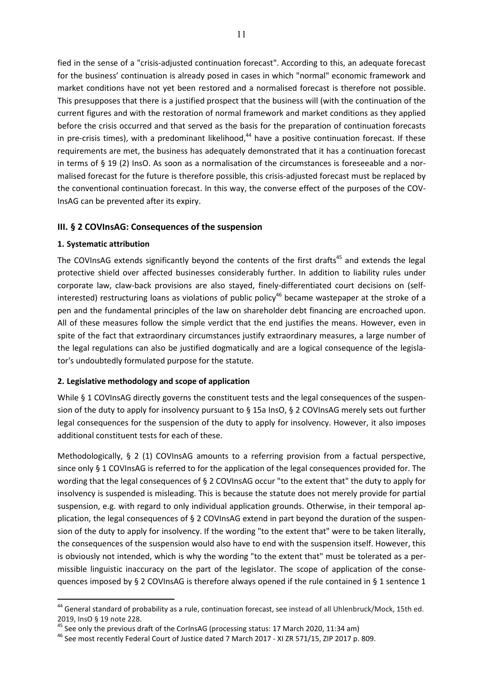fied in the sense of a "crisis-adjusted continuation forecast". According to this, an adequate forecast for the business' continuation is already posed in cases in which "normal" economic framework and market conditions have not yet been restored and a normalised forecast is therefore not possible. This presupposes that there is a justified prospect that the business will (with the continuation of the current figures and with the restoration of normal framework and market conditions as they applied before the crisis occurred and that served as the basis for the preparation of continuation forecasts in pre-crisis times), with a predominant likelihood, $44$  have a positive continuation forecast. If these requirements are met, the business has adequately demonstrated that it has a continuation forecast in terms of § 19 (2) InsO. As soon as a normalisation of the circumstances is foreseeable and a normalised forecast for the future is therefore possible, this crisis-adjusted forecast must be replaced by the conventional continuation forecast. In this way, the converse effect of the purposes of the COV-InsAG can be prevented after its expiry.

## **III. § 2 COVInsAG: Consequences of the suspension**

## **1. Systematic attribution**

 $\overline{a}$ 

The COVInsAG extends significantly beyond the contents of the first drafts<sup>45</sup> and extends the legal protective shield over affected businesses considerably further. In addition to liability rules under corporate law, claw-back provisions are also stayed, finely-differentiated court decisions on (selfinterested) restructuring loans as violations of public policy<sup>46</sup> became wastepaper at the stroke of a pen and the fundamental principles of the law on shareholder debt financing are encroached upon. All of these measures follow the simple verdict that the end justifies the means. However, even in spite of the fact that extraordinary circumstances justify extraordinary measures, a large number of the legal regulations can also be justified dogmatically and are a logical consequence of the legislator's undoubtedly formulated purpose for the statute.

## **2. Legislative methodology and scope of application**

While § 1 COVInsAG directly governs the constituent tests and the legal consequences of the suspension of the duty to apply for insolvency pursuant to § 15a InsO, § 2 COVInsAG merely sets out further legal consequences for the suspension of the duty to apply for insolvency. However, it also imposes additional constituent tests for each of these.

Methodologically, § 2 (1) COVInsAG amounts to a referring provision from a factual perspective, since only § 1 COVInsAG is referred to for the application of the legal consequences provided for. The wording that the legal consequences of § 2 COVInsAG occur "to the extent that" the duty to apply for insolvency is suspended is misleading. This is because the statute does not merely provide for partial suspension, e.g. with regard to only individual application grounds. Otherwise, in their temporal application, the legal consequences of § 2 COVInsAG extend in part beyond the duration of the suspension of the duty to apply for insolvency. If the wording "to the extent that" were to be taken literally, the consequences of the suspension would also have to end with the suspension itself. However, this is obviously not intended, which is why the wording "to the extent that" must be tolerated as a permissible linguistic inaccuracy on the part of the legislator. The scope of application of the consequences imposed by § 2 COVInsAG is therefore always opened if the rule contained in § 1 sentence 1

 $44$  General standard of probability as a rule, continuation forecast, see instead of all Uhlenbruck/Mock, 15th ed. 2019, InsO § 19 note 228.

<sup>&</sup>lt;sup>45</sup> See only the previous draft of the CorInsAG (processing status: 17 March 2020, 11:34 am)

<sup>46</sup> See most recently Federal Court of Justice dated 7 March 2017 - XI ZR 571/15, ZIP 2017 p. 809.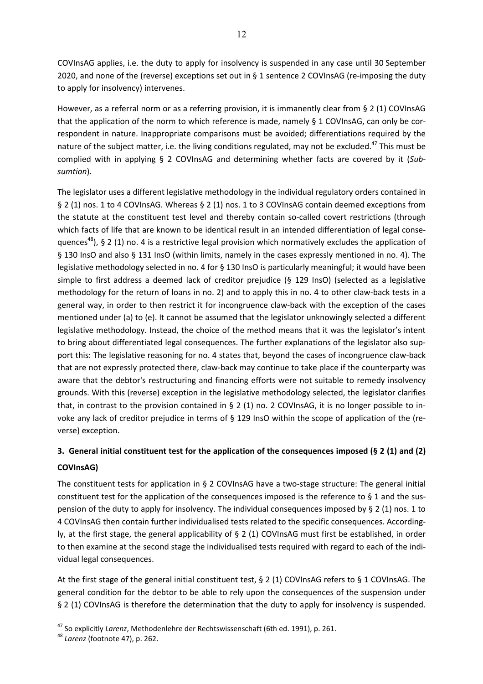COVInsAG applies, i.e. the duty to apply for insolvency is suspended in any case until 30 September 2020, and none of the (reverse) exceptions set out in § 1 sentence 2 COVInsAG (re-imposing the duty to apply for insolvency) intervenes.

However, as a referral norm or as a referring provision, it is immanently clear from § 2 (1) COVInsAG that the application of the norm to which reference is made, namely § 1 COVInsAG, can only be correspondent in nature. Inappropriate comparisons must be avoided; differentiations required by the nature of the subject matter, i.e. the living conditions regulated, may not be excluded.<sup>47</sup> This must be complied with in applying § 2 COVInsAG and determining whether facts are covered by it (*Subsumtion*).

The legislator uses a different legislative methodology in the individual regulatory orders contained in § 2 (1) nos. 1 to 4 COVInsAG. Whereas § 2 (1) nos. 1 to 3 COVInsAG contain deemed exceptions from the statute at the constituent test level and thereby contain so-called covert restrictions (through which facts of life that are known to be identical result in an intended differentiation of legal consequences<sup>48</sup>), § 2 (1) no. 4 is a restrictive legal provision which normatively excludes the application of § 130 InsO and also § 131 InsO (within limits, namely in the cases expressly mentioned in no. 4). The legislative methodology selected in no. 4 for § 130 InsO is particularly meaningful; it would have been simple to first address a deemed lack of creditor prejudice (§ 129 InsO) (selected as a legislative methodology for the return of loans in no. 2) and to apply this in no. 4 to other claw-back tests in a general way, in order to then restrict it for incongruence claw-back with the exception of the cases mentioned under (a) to (e). It cannot be assumed that the legislator unknowingly selected a different legislative methodology. Instead, the choice of the method means that it was the legislator's intent to bring about differentiated legal consequences. The further explanations of the legislator also support this: The legislative reasoning for no. 4 states that, beyond the cases of incongruence claw-back that are not expressly protected there, claw-back may continue to take place if the counterparty was aware that the debtor's restructuring and financing efforts were not suitable to remedy insolvency grounds. With this (reverse) exception in the legislative methodology selected, the legislator clarifies that, in contrast to the provision contained in § 2 (1) no. 2 COVInsAG, it is no longer possible to invoke any lack of creditor prejudice in terms of § 129 InsO within the scope of application of the (reverse) exception.

# **3. General initial constituent test for the application of the consequences imposed (§ 2 (1) and (2)**

## **COVInsAG)**

 $\overline{a}$ 

The constituent tests for application in § 2 COVInsAG have a two-stage structure: The general initial constituent test for the application of the consequences imposed is the reference to § 1 and the suspension of the duty to apply for insolvency. The individual consequences imposed by § 2 (1) nos. 1 to 4 COVInsAG then contain further individualised tests related to the specific consequences. Accordingly, at the first stage, the general applicability of § 2 (1) COVInsAG must first be established, in order to then examine at the second stage the individualised tests required with regard to each of the individual legal consequences.

At the first stage of the general initial constituent test, § 2 (1) COVInsAG refers to § 1 COVInsAG. The general condition for the debtor to be able to rely upon the consequences of the suspension under § 2 (1) COVInsAG is therefore the determination that the duty to apply for insolvency is suspended.

<sup>47</sup> So explicitly *Larenz*, Methodenlehre der Rechtswissenschaft (6th ed. 1991), p. 261. 48 *Larenz* (footnote 47), p. 262.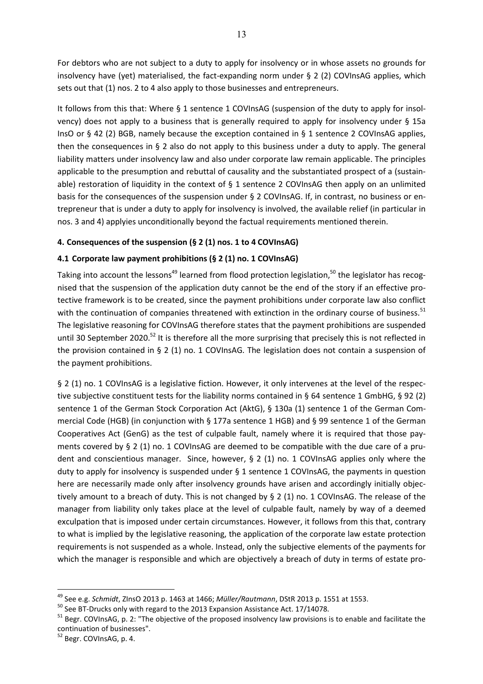For debtors who are not subject to a duty to apply for insolvency or in whose assets no grounds for insolvency have (yet) materialised, the fact-expanding norm under § 2 (2) COVInsAG applies, which sets out that (1) nos. 2 to 4 also apply to those businesses and entrepreneurs.

It follows from this that: Where § 1 sentence 1 COVInsAG (suspension of the duty to apply for insolvency) does not apply to a business that is generally required to apply for insolvency under § 15a InsO or § 42 (2) BGB, namely because the exception contained in § 1 sentence 2 COVInsAG applies, then the consequences in § 2 also do not apply to this business under a duty to apply. The general liability matters under insolvency law and also under corporate law remain applicable. The principles applicable to the presumption and rebuttal of causality and the substantiated prospect of a (sustainable) restoration of liquidity in the context of § 1 sentence 2 COVInsAG then apply on an unlimited basis for the consequences of the suspension under § 2 COVInsAG. If, in contrast, no business or entrepreneur that is under a duty to apply for insolvency is involved, the available relief (in particular in nos. 3 and 4) applyies unconditionally beyond the factual requirements mentioned therein.

## **4. Consequences of the suspension (§ 2 (1) nos. 1 to 4 COVInsAG)**

## **4.1 Corporate law payment prohibitions (§ 2 (1) no. 1 COVInsAG)**

Taking into account the lessons<sup>49</sup> learned from flood protection legislation.<sup>50</sup> the legislator has recognised that the suspension of the application duty cannot be the end of the story if an effective protective framework is to be created, since the payment prohibitions under corporate law also conflict with the continuation of companies threatened with extinction in the ordinary course of business.<sup>51</sup> The legislative reasoning for COVInsAG therefore states that the payment prohibitions are suspended until 30 September 2020.<sup>52</sup> It is therefore all the more surprising that precisely this is not reflected in the provision contained in § 2 (1) no. 1 COVInsAG. The legislation does not contain a suspension of the payment prohibitions.

§ 2 (1) no. 1 COVInsAG is a legislative fiction. However, it only intervenes at the level of the respective subjective constituent tests for the liability norms contained in § 64 sentence 1 GmbHG, § 92 (2) sentence 1 of the German Stock Corporation Act (AktG), § 130a (1) sentence 1 of the German Commercial Code (HGB) (in conjunction with § 177a sentence 1 HGB) and § 99 sentence 1 of the German Cooperatives Act (GenG) as the test of culpable fault, namely where it is required that those payments covered by § 2 (1) no. 1 COVInsAG are deemed to be compatible with the due care of a prudent and conscientious manager. Since, however, § 2 (1) no. 1 COVInsAG applies only where the duty to apply for insolvency is suspended under § 1 sentence 1 COVInsAG, the payments in question here are necessarily made only after insolvency grounds have arisen and accordingly initially objectively amount to a breach of duty. This is not changed by § 2 (1) no. 1 COVInsAG. The release of the manager from liability only takes place at the level of culpable fault, namely by way of a deemed exculpation that is imposed under certain circumstances. However, it follows from this that, contrary to what is implied by the legislative reasoning, the application of the corporate law estate protection requirements is not suspended as a whole. Instead, only the subjective elements of the payments for which the manager is responsible and which are objectively a breach of duty in terms of estate pro-

<sup>&</sup>lt;sup>49</sup> See e.g. *Schmidt*, ZInsO 2013 p. 1463 at 1466; *Müller/Rautmann*, DStR 2013 p. 1551 at 1553.<br><sup>50</sup> See BT-Drucks only with regard to the 2013 Expansion Assistance Act. 17/14078.

<sup>&</sup>lt;sup>51</sup> Begr. COVInsAG, p. 2: "The objective of the proposed insolvency law provisions is to enable and facilitate the continuation of businesses".

<sup>&</sup>lt;sup>52</sup> Begr. COVInsAG, p. 4.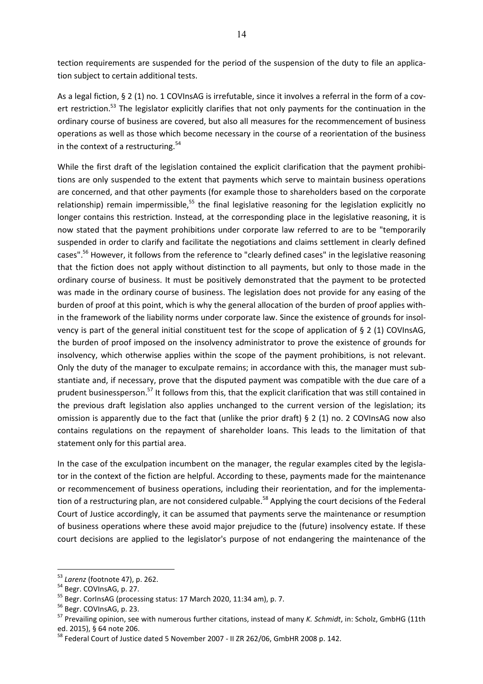tection requirements are suspended for the period of the suspension of the duty to file an application subject to certain additional tests.

As a legal fiction, § 2 (1) no. 1 COVInsAG is irrefutable, since it involves a referral in the form of a covert restriction.<sup>53</sup> The legislator explicitly clarifies that not only payments for the continuation in the ordinary course of business are covered, but also all measures for the recommencement of business operations as well as those which become necessary in the course of a reorientation of the business in the context of a restructuring. $54$ 

While the first draft of the legislation contained the explicit clarification that the payment prohibitions are only suspended to the extent that payments which serve to maintain business operations are concerned, and that other payments (for example those to shareholders based on the corporate relationship) remain impermissible,<sup>55</sup> the final legislative reasoning for the legislation explicitly no longer contains this restriction. Instead, at the corresponding place in the legislative reasoning, it is now stated that the payment prohibitions under corporate law referred to are to be "temporarily suspended in order to clarify and facilitate the negotiations and claims settlement in clearly defined cases".<sup>56</sup> However, it follows from the reference to "clearly defined cases" in the legislative reasoning that the fiction does not apply without distinction to all payments, but only to those made in the ordinary course of business. It must be positively demonstrated that the payment to be protected was made in the ordinary course of business. The legislation does not provide for any easing of the burden of proof at this point, which is why the general allocation of the burden of proof applies within the framework of the liability norms under corporate law. Since the existence of grounds for insolvency is part of the general initial constituent test for the scope of application of § 2 (1) COVInsAG, the burden of proof imposed on the insolvency administrator to prove the existence of grounds for insolvency, which otherwise applies within the scope of the payment prohibitions, is not relevant. Only the duty of the manager to exculpate remains; in accordance with this, the manager must substantiate and, if necessary, prove that the disputed payment was compatible with the due care of a prudent businessperson.<sup>57</sup> It follows from this, that the explicit clarification that was still contained in the previous draft legislation also applies unchanged to the current version of the legislation; its omission is apparently due to the fact that (unlike the prior draft)  $\S 2$  (1) no. 2 COVInsAG now also contains regulations on the repayment of shareholder loans. This leads to the limitation of that statement only for this partial area.

In the case of the exculpation incumbent on the manager, the regular examples cited by the legislator in the context of the fiction are helpful. According to these, payments made for the maintenance or recommencement of business operations, including their reorientation, and for the implementation of a restructuring plan, are not considered culpable.<sup>58</sup> Applying the court decisions of the Federal Court of Justice accordingly, it can be assumed that payments serve the maintenance or resumption of business operations where these avoid major prejudice to the (future) insolvency estate. If these court decisions are applied to the legislator's purpose of not endangering the maintenance of the

<sup>&</sup>lt;sup>53</sup> Larenz (footnote 47), p. 262.<br><sup>54</sup> Begr. COVInsAG, p. 27.

<sup>&</sup>lt;sup>55</sup> Begr. CorlnsAG (processing status: 17 March 2020, 11:34 am), p. 7.

<sup>&</sup>lt;sup>56</sup> Begr. COVInsAG, p. 23.

<sup>57</sup> Prevailing opinion, see with numerous further citations, instead of many *K. Schmidt*, in: Scholz, GmbHG (11th ed. 2015), § 64 note 206.

<sup>&</sup>lt;sup>58</sup> Federal Court of Justice dated 5 November 2007 - II ZR 262/06, GmbHR 2008 p. 142.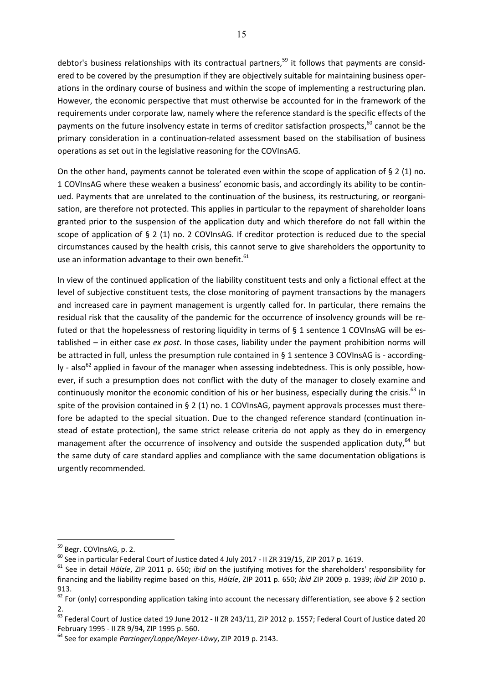debtor's business relationships with its contractual partners,<sup>59</sup> it follows that payments are considered to be covered by the presumption if they are objectively suitable for maintaining business operations in the ordinary course of business and within the scope of implementing a restructuring plan. However, the economic perspective that must otherwise be accounted for in the framework of the requirements under corporate law, namely where the reference standard is the specific effects of the payments on the future insolvency estate in terms of creditor satisfaction prospects,<sup>60</sup> cannot be the primary consideration in a continuation-related assessment based on the stabilisation of business operations as set out in the legislative reasoning for the COVInsAG.

On the other hand, payments cannot be tolerated even within the scope of application of § 2 (1) no. 1 COVInsAG where these weaken a business' economic basis, and accordingly its ability to be continued. Payments that are unrelated to the continuation of the business, its restructuring, or reorganisation, are therefore not protected. This applies in particular to the repayment of shareholder loans granted prior to the suspension of the application duty and which therefore do not fall within the scope of application of § 2 (1) no. 2 COVInsAG. If creditor protection is reduced due to the special circumstances caused by the health crisis, this cannot serve to give shareholders the opportunity to use an information advantage to their own benefit.<sup>61</sup>

In view of the continued application of the liability constituent tests and only a fictional effect at the level of subjective constituent tests, the close monitoring of payment transactions by the managers and increased care in payment management is urgently called for. In particular, there remains the residual risk that the causality of the pandemic for the occurrence of insolvency grounds will be refuted or that the hopelessness of restoring liquidity in terms of § 1 sentence 1 COVInsAG will be established – in either case *ex post*. In those cases, liability under the payment prohibition norms will be attracted in full, unless the presumption rule contained in § 1 sentence 3 COVInsAG is - accordingly - also<sup>62</sup> applied in favour of the manager when assessing indebtedness. This is only possible, however, if such a presumption does not conflict with the duty of the manager to closely examine and continuously monitor the economic condition of his or her business, especially during the crisis.<sup>63</sup> In spite of the provision contained in § 2 (1) no. 1 COVInsAG, payment approvals processes must therefore be adapted to the special situation. Due to the changed reference standard (continuation instead of estate protection), the same strict release criteria do not apply as they do in emergency management after the occurrence of insolvency and outside the suspended application duty,<sup>64</sup> but the same duty of care standard applies and compliance with the same documentation obligations is urgently recommended.

<sup>&</sup>lt;sup>59</sup> Begr. COVInsAG, p. 2.

<sup>&</sup>lt;sup>60</sup> See in particular Federal Court of Justice dated 4 July 2017 - II ZR 319/15, ZIP 2017 p. 1619.

<sup>61</sup> See in detail *Hölzle*, ZIP 2011 p. 650; *ibid* on the justifying motives for the shareholders' responsibility for financing and the liability regime based on this, *Hölzle*, ZIP 2011 p. 650; *ibid* ZIP 2009 p. 1939; *ibid* ZIP 2010 p. 913.

 $62$  For (only) corresponding application taking into account the necessary differentiation, see above § 2 section 2.

 $^{63}$  Federal Court of Justice dated 19 June 2012 - II ZR 243/11. ZIP 2012 p. 1557: Federal Court of Justice dated 20 February 1995 - II ZR 9/94, ZIP 1995 p. 560.

<sup>64</sup> See for example *Parzinger/Lappe/Meyer-Löwy*, ZIP 2019 p. 2143.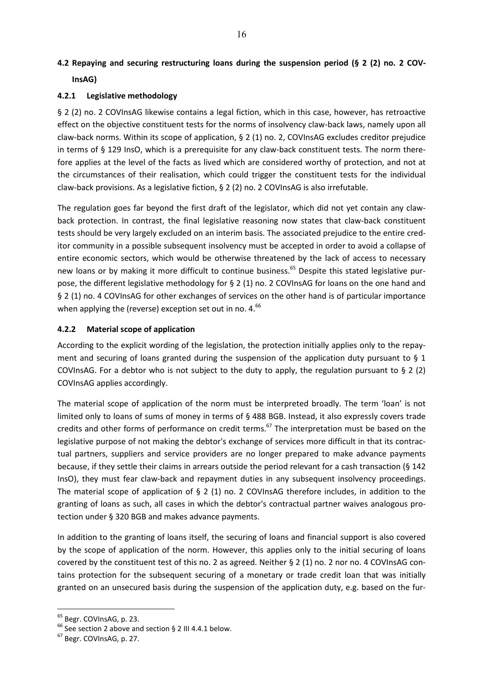# **4.2 Repaying and securing restructuring loans during the suspension period (§ 2 (2) no. 2 COV-InsAG)**

### **4.2.1 Legislative methodology**

§ 2 (2) no. 2 COVInsAG likewise contains a legal fiction, which in this case, however, has retroactive effect on the objective constituent tests for the norms of insolvency claw-back laws, namely upon all claw-back norms. Within its scope of application, § 2 (1) no. 2, COVInsAG excludes creditor prejudice in terms of § 129 InsO, which is a prerequisite for any claw-back constituent tests. The norm therefore applies at the level of the facts as lived which are considered worthy of protection, and not at the circumstances of their realisation, which could trigger the constituent tests for the individual claw-back provisions. As a legislative fiction, § 2 (2) no. 2 COVInsAG is also irrefutable.

The regulation goes far beyond the first draft of the legislator, which did not yet contain any clawback protection. In contrast, the final legislative reasoning now states that claw-back constituent tests should be very largely excluded on an interim basis. The associated prejudice to the entire creditor community in a possible subsequent insolvency must be accepted in order to avoid a collapse of entire economic sectors, which would be otherwise threatened by the lack of access to necessary new loans or by making it more difficult to continue business.<sup>65</sup> Despite this stated legislative purpose, the different legislative methodology for § 2 (1) no. 2 COVInsAG for loans on the one hand and § 2 (1) no. 4 COVInsAG for other exchanges of services on the other hand is of particular importance when applying the (reverse) exception set out in no. 4.<sup>66</sup>

### **4.2.2 Material scope of application**

According to the explicit wording of the legislation, the protection initially applies only to the repayment and securing of loans granted during the suspension of the application duty pursuant to  $\S$  1 COVInsAG. For a debtor who is not subject to the duty to apply, the regulation pursuant to  $\S 2$  (2) COVInsAG applies accordingly.

The material scope of application of the norm must be interpreted broadly. The term 'loan' is not limited only to loans of sums of money in terms of § 488 BGB. Instead, it also expressly covers trade credits and other forms of performance on credit terms.<sup>67</sup> The interpretation must be based on the legislative purpose of not making the debtor's exchange of services more difficult in that its contractual partners, suppliers and service providers are no longer prepared to make advance payments because, if they settle their claims in arrears outside the period relevant for a cash transaction (§ 142 InsO), they must fear claw-back and repayment duties in any subsequent insolvency proceedings. The material scope of application of § 2 (1) no. 2 COVInsAG therefore includes, in addition to the granting of loans as such, all cases in which the debtor's contractual partner waives analogous protection under § 320 BGB and makes advance payments.

In addition to the granting of loans itself, the securing of loans and financial support is also covered by the scope of application of the norm. However, this applies only to the initial securing of loans covered by the constituent test of this no. 2 as agreed. Neither § 2 (1) no. 2 nor no. 4 COVInsAG contains protection for the subsequent securing of a monetary or trade credit loan that was initially granted on an unsecured basis during the suspension of the application duty, e.g. based on the fur-

<sup>&</sup>lt;sup>65</sup> Begr. COVInsAG, p. 23.

 $^{66}$  See section 2 above and section § 2 III 4.4.1 below.

<sup>67</sup> Begr. COVInsAG, p. 27.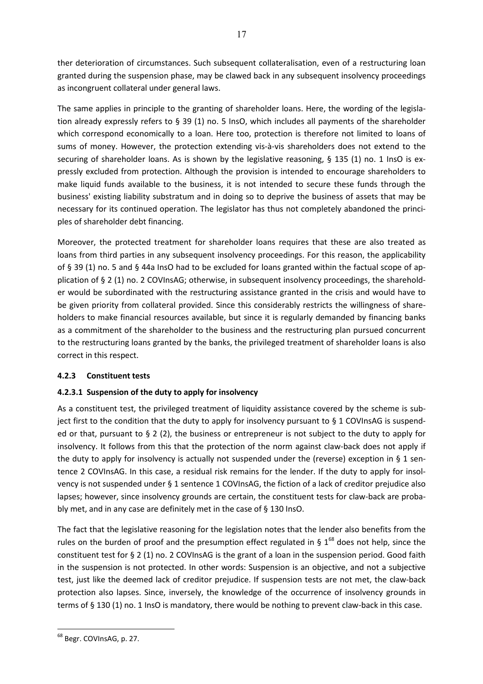ther deterioration of circumstances. Such subsequent collateralisation, even of a restructuring loan granted during the suspension phase, may be clawed back in any subsequent insolvency proceedings as incongruent collateral under general laws.

The same applies in principle to the granting of shareholder loans. Here, the wording of the legislation already expressly refers to § 39 (1) no. 5 InsO, which includes all payments of the shareholder which correspond economically to a loan. Here too, protection is therefore not limited to loans of sums of money. However, the protection extending vis-à-vis shareholders does not extend to the securing of shareholder loans. As is shown by the legislative reasoning, § 135 (1) no. 1 InsO is expressly excluded from protection. Although the provision is intended to encourage shareholders to make liquid funds available to the business, it is not intended to secure these funds through the business' existing liability substratum and in doing so to deprive the business of assets that may be necessary for its continued operation. The legislator has thus not completely abandoned the principles of shareholder debt financing.

Moreover, the protected treatment for shareholder loans requires that these are also treated as loans from third parties in any subsequent insolvency proceedings. For this reason, the applicability of § 39 (1) no. 5 and § 44a InsO had to be excluded for loans granted within the factual scope of application of § 2 (1) no. 2 COVInsAG; otherwise, in subsequent insolvency proceedings, the shareholder would be subordinated with the restructuring assistance granted in the crisis and would have to be given priority from collateral provided. Since this considerably restricts the willingness of shareholders to make financial resources available, but since it is regularly demanded by financing banks as a commitment of the shareholder to the business and the restructuring plan pursued concurrent to the restructuring loans granted by the banks, the privileged treatment of shareholder loans is also correct in this respect.

## **4.2.3 Constituent tests**

## **4.2.3.1 Suspension of the duty to apply for insolvency**

As a constituent test, the privileged treatment of liquidity assistance covered by the scheme is subject first to the condition that the duty to apply for insolvency pursuant to  $\S 1$  COVInsAG is suspended or that, pursuant to § 2 (2), the business or entrepreneur is not subject to the duty to apply for insolvency. It follows from this that the protection of the norm against claw-back does not apply if the duty to apply for insolvency is actually not suspended under the (reverse) exception in  $\S$  1 sentence 2 COVInsAG. In this case, a residual risk remains for the lender. If the duty to apply for insolvency is not suspended under § 1 sentence 1 COVInsAG, the fiction of a lack of creditor prejudice also lapses; however, since insolvency grounds are certain, the constituent tests for claw-back are probably met, and in any case are definitely met in the case of § 130 InsO.

The fact that the legislative reasoning for the legislation notes that the lender also benefits from the rules on the burden of proof and the presumption effect regulated in §  $1^{68}$  does not help, since the constituent test for § 2 (1) no. 2 COVInsAG is the grant of a loan in the suspension period. Good faith in the suspension is not protected. In other words: Suspension is an objective, and not a subjective test, just like the deemed lack of creditor prejudice. If suspension tests are not met, the claw-back protection also lapses. Since, inversely, the knowledge of the occurrence of insolvency grounds in terms of § 130 (1) no. 1 InsO is mandatory, there would be nothing to prevent claw-back in this case.

 $\overline{a}$ <sup>68</sup> Begr. COVInsAG, p. 27.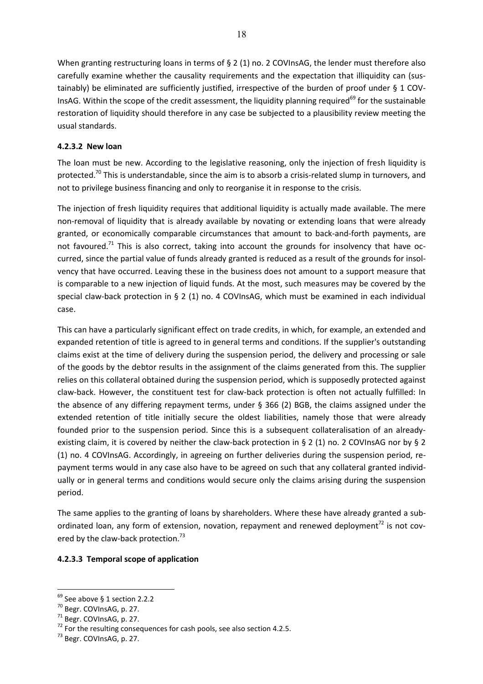When granting restructuring loans in terms of § 2 (1) no. 2 COVInsAG, the lender must therefore also carefully examine whether the causality requirements and the expectation that illiquidity can (sustainably) be eliminated are sufficiently justified, irrespective of the burden of proof under § 1 COV-InsAG. Within the scope of the credit assessment, the liquidity planning required<sup>69</sup> for the sustainable restoration of liquidity should therefore in any case be subjected to a plausibility review meeting the usual standards.

## **4.2.3.2 New loan**

The loan must be new. According to the legislative reasoning, only the injection of fresh liquidity is protected.<sup>70</sup> This is understandable, since the aim is to absorb a crisis-related slump in turnovers, and not to privilege business financing and only to reorganise it in response to the crisis.

The injection of fresh liquidity requires that additional liquidity is actually made available. The mere non-removal of liquidity that is already available by novating or extending loans that were already granted, or economically comparable circumstances that amount to back-and-forth payments, are not favoured.<sup>71</sup> This is also correct, taking into account the grounds for insolvency that have occurred, since the partial value of funds already granted is reduced as a result of the grounds for insolvency that have occurred. Leaving these in the business does not amount to a support measure that is comparable to a new injection of liquid funds. At the most, such measures may be covered by the special claw-back protection in § 2 (1) no. 4 COVInsAG, which must be examined in each individual case.

This can have a particularly significant effect on trade credits, in which, for example, an extended and expanded retention of title is agreed to in general terms and conditions. If the supplier's outstanding claims exist at the time of delivery during the suspension period, the delivery and processing or sale of the goods by the debtor results in the assignment of the claims generated from this. The supplier relies on this collateral obtained during the suspension period, which is supposedly protected against claw-back. However, the constituent test for claw-back protection is often not actually fulfilled: In the absence of any differing repayment terms, under § 366 (2) BGB, the claims assigned under the extended retention of title initially secure the oldest liabilities, namely those that were already founded prior to the suspension period. Since this is a subsequent collateralisation of an alreadyexisting claim, it is covered by neither the claw-back protection in § 2 (1) no. 2 COVInsAG nor by § 2 (1) no. 4 COVInsAG. Accordingly, in agreeing on further deliveries during the suspension period, repayment terms would in any case also have to be agreed on such that any collateral granted individually or in general terms and conditions would secure only the claims arising during the suspension period.

The same applies to the granting of loans by shareholders. Where these have already granted a subordinated loan, any form of extension, novation, repayment and renewed deployment $^{72}$  is not covered by the claw-back protection.<sup>73</sup>

## **4.2.3.3 Temporal scope of application**

 $69$  See above § 1 section 2.2.2

<sup>70</sup> Begr. COVInsAG, p. 27.

 $71$  Begr. COVInsAG, p. 27.

<sup>72</sup> For the resulting consequences for cash pools, see also section 4.2.5.73 Begr. COVInsAG, p. 27.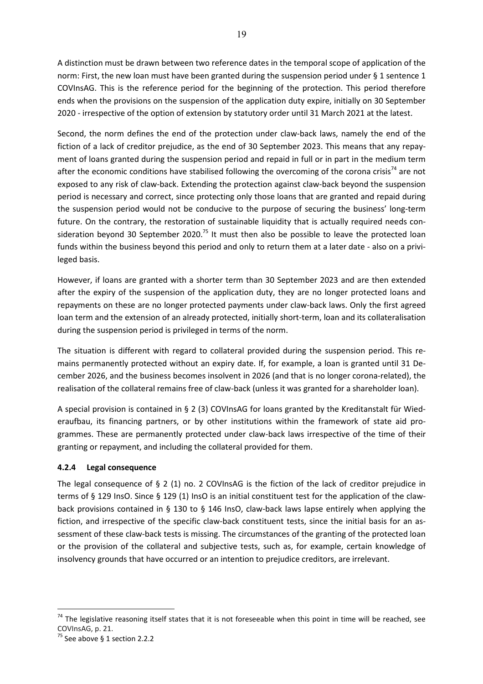A distinction must be drawn between two reference dates in the temporal scope of application of the norm: First, the new loan must have been granted during the suspension period under § 1 sentence 1 COVInsAG. This is the reference period for the beginning of the protection. This period therefore ends when the provisions on the suspension of the application duty expire, initially on 30 September 2020 - irrespective of the option of extension by statutory order until 31 March 2021 at the latest.

Second, the norm defines the end of the protection under claw-back laws, namely the end of the fiction of a lack of creditor prejudice, as the end of 30 September 2023. This means that any repayment of loans granted during the suspension period and repaid in full or in part in the medium term after the economic conditions have stabilised following the overcoming of the corona crisis<sup>74</sup> are not exposed to any risk of claw-back. Extending the protection against claw-back beyond the suspension period is necessary and correct, since protecting only those loans that are granted and repaid during the suspension period would not be conducive to the purpose of securing the business' long-term future. On the contrary, the restoration of sustainable liquidity that is actually required needs consideration beyond 30 September 2020.<sup>75</sup> It must then also be possible to leave the protected loan funds within the business beyond this period and only to return them at a later date - also on a privileged basis.

However, if loans are granted with a shorter term than 30 September 2023 and are then extended after the expiry of the suspension of the application duty, they are no longer protected loans and repayments on these are no longer protected payments under claw-back laws. Only the first agreed loan term and the extension of an already protected, initially short-term, loan and its collateralisation during the suspension period is privileged in terms of the norm.

The situation is different with regard to collateral provided during the suspension period. This remains permanently protected without an expiry date. If, for example, a loan is granted until 31 December 2026, and the business becomes insolvent in 2026 (and that is no longer corona-related), the realisation of the collateral remains free of claw-back (unless it was granted for a shareholder loan).

A special provision is contained in § 2 (3) COVInsAG for loans granted by the Kreditanstalt für Wiederaufbau, its financing partners, or by other institutions within the framework of state aid programmes. These are permanently protected under claw-back laws irrespective of the time of their granting or repayment, and including the collateral provided for them.

## **4.2.4 Legal consequence**

The legal consequence of § 2 (1) no. 2 COVInsAG is the fiction of the lack of creditor prejudice in terms of § 129 InsO. Since § 129 (1) InsO is an initial constituent test for the application of the clawback provisions contained in § 130 to § 146 InsO, claw-back laws lapse entirely when applying the fiction, and irrespective of the specific claw-back constituent tests, since the initial basis for an assessment of these claw-back tests is missing. The circumstances of the granting of the protected loan or the provision of the collateral and subjective tests, such as, for example, certain knowledge of insolvency grounds that have occurred or an intention to prejudice creditors, are irrelevant.

 $74$  The legislative reasoning itself states that it is not foreseeable when this point in time will be reached, see COVInsAG, p. 21.

 $^{75}$  See above § 1 section 2.2.2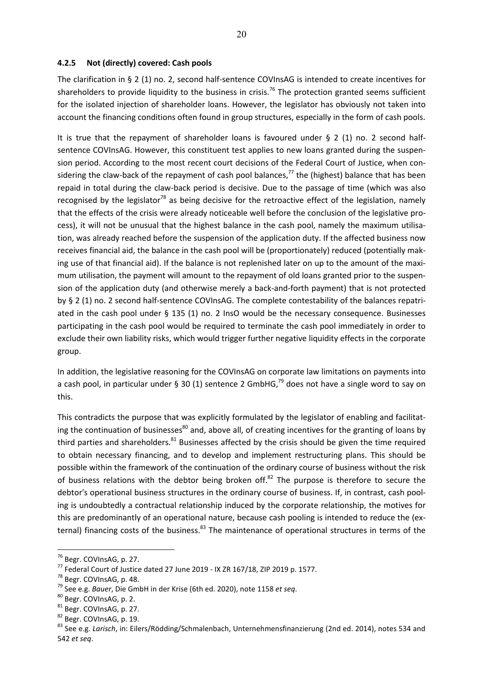### **4.2.5 Not (directly) covered: Cash pools**

The clarification in § 2 (1) no. 2, second half-sentence COVInsAG is intended to create incentives for shareholders to provide liquidity to the business in crisis.<sup>76</sup> The protection granted seems sufficient for the isolated injection of shareholder loans. However, the legislator has obviously not taken into account the financing conditions often found in group structures, especially in the form of cash pools.

It is true that the repayment of shareholder loans is favoured under § 2 (1) no. 2 second halfsentence COVInsAG. However, this constituent test applies to new loans granted during the suspension period. According to the most recent court decisions of the Federal Court of Justice, when considering the claw-back of the repayment of cash pool balances,<sup>77</sup> the (highest) balance that has been repaid in total during the claw-back period is decisive. Due to the passage of time (which was also recognised by the legislator<sup>78</sup> as being decisive for the retroactive effect of the legislation, namely that the effects of the crisis were already noticeable well before the conclusion of the legislative process), it will not be unusual that the highest balance in the cash pool, namely the maximum utilisation, was already reached before the suspension of the application duty. If the affected business now receives financial aid, the balance in the cash pool will be (proportionately) reduced (potentially making use of that financial aid). If the balance is not replenished later on up to the amount of the maximum utilisation, the payment will amount to the repayment of old loans granted prior to the suspension of the application duty (and otherwise merely a back-and-forth payment) that is not protected by § 2 (1) no. 2 second half-sentence COVInsAG. The complete contestability of the balances repatriated in the cash pool under § 135 (1) no. 2 InsO would be the necessary consequence. Businesses participating in the cash pool would be required to terminate the cash pool immediately in order to exclude their own liability risks, which would trigger further negative liquidity effects in the corporate group.

In addition, the legislative reasoning for the COVInsAG on corporate law limitations on payments into a cash pool, in particular under § 30 (1) sentence 2 GmbHG,<sup>79</sup> does not have a single word to say on this.

This contradicts the purpose that was explicitly formulated by the legislator of enabling and facilitating the continuation of businesses<sup>80</sup> and, above all, of creating incentives for the granting of loans by third parties and shareholders.<sup>81</sup> Businesses affected by the crisis should be given the time required to obtain necessary financing, and to develop and implement restructuring plans. This should be possible within the framework of the continuation of the ordinary course of business without the risk of business relations with the debtor being broken off. $82$  The purpose is therefore to secure the debtor's operational business structures in the ordinary course of business. If, in contrast, cash pooling is undoubtedly a contractual relationship induced by the corporate relationship, the motives for this are predominantly of an operational nature, because cash pooling is intended to reduce the (external) financing costs of the business.<sup>83</sup> The maintenance of operational structures in terms of the

<sup>76</sup> Begr. COVInsAG, p. 27.

<sup>77</sup> Federal Court of Justice dated 27 June 2019 - IX ZR 167/18, ZIP 2019 p. 1577.

<sup>78</sup> Begr. COVInsAG, p. 48.

<sup>&</sup>lt;sup>79</sup> See e.g. *Bauer*, Die GmbH in der Krise (6th ed. 2020), note 1158 *et seq.* 80 Begr. COVInsAG, p. 2.

<sup>81</sup> Begr. COVInsAG, p. 27.

<sup>&</sup>lt;sup>82</sup> Begr. COVInsAG, p. 19.

<sup>83</sup> See e.g. *Larisch*, in: Eilers/Rödding/Schmalenbach, Unternehmensfinanzierung (2nd ed. 2014), notes 534 and 542 *et seq*.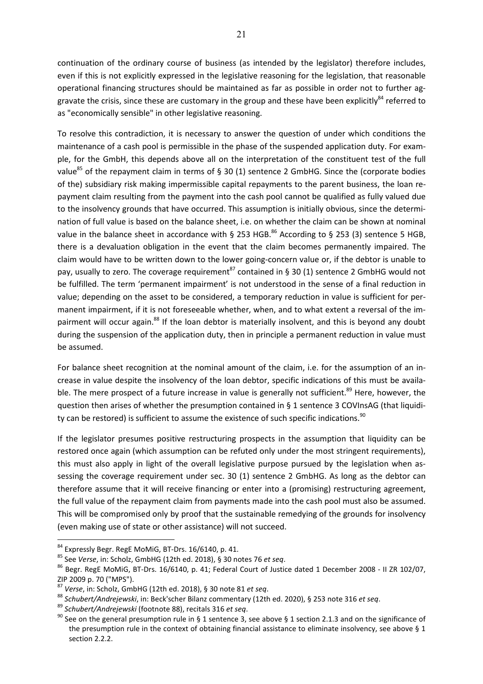continuation of the ordinary course of business (as intended by the legislator) therefore includes, even if this is not explicitly expressed in the legislative reasoning for the legislation, that reasonable operational financing structures should be maintained as far as possible in order not to further aggravate the crisis, since these are customary in the group and these have been explicitly<sup>84</sup> referred to as "economically sensible" in other legislative reasoning.

To resolve this contradiction, it is necessary to answer the question of under which conditions the maintenance of a cash pool is permissible in the phase of the suspended application duty. For example, for the GmbH, this depends above all on the interpretation of the constituent test of the full value<sup>85</sup> of the repayment claim in terms of § 30 (1) sentence 2 GmbHG. Since the (corporate bodies of the) subsidiary risk making impermissible capital repayments to the parent business, the loan repayment claim resulting from the payment into the cash pool cannot be qualified as fully valued due to the insolvency grounds that have occurred. This assumption is initially obvious, since the determination of full value is based on the balance sheet, i.e. on whether the claim can be shown at nominal value in the balance sheet in accordance with § 253 HGB.<sup>86</sup> According to § 253 (3) sentence 5 HGB, there is a devaluation obligation in the event that the claim becomes permanently impaired. The claim would have to be written down to the lower going-concern value or, if the debtor is unable to pay, usually to zero. The coverage requirement<sup>87</sup> contained in § 30 (1) sentence 2 GmbHG would not be fulfilled. The term 'permanent impairment' is not understood in the sense of a final reduction in value; depending on the asset to be considered, a temporary reduction in value is sufficient for permanent impairment, if it is not foreseeable whether, when, and to what extent a reversal of the impairment will occur again.<sup>88</sup> If the loan debtor is materially insolvent, and this is beyond any doubt during the suspension of the application duty, then in principle a permanent reduction in value must be assumed.

For balance sheet recognition at the nominal amount of the claim, i.e. for the assumption of an increase in value despite the insolvency of the loan debtor, specific indications of this must be available. The mere prospect of a future increase in value is generally not sufficient.<sup>89</sup> Here, however, the question then arises of whether the presumption contained in § 1 sentence 3 COVInsAG (that liquidity can be restored) is sufficient to assume the existence of such specific indications.<sup>90</sup>

If the legislator presumes positive restructuring prospects in the assumption that liquidity can be restored once again (which assumption can be refuted only under the most stringent requirements), this must also apply in light of the overall legislative purpose pursued by the legislation when assessing the coverage requirement under sec. 30 (1) sentence 2 GmbHG. As long as the debtor can therefore assume that it will receive financing or enter into a (promising) restructuring agreement, the full value of the repayment claim from payments made into the cash pool must also be assumed. This will be compromised only by proof that the sustainable remedying of the grounds for insolvency (even making use of state or other assistance) will not succeed.

 $^{84}$  Expressly Begr. RegE MoMiG, BT-Drs. 16/6140, p. 41.<br> $^{85}$  See *Verse*, in: Scholz, GmbHG (12th ed. 2018), § 30 notes 76 *et seq*.

<sup>&</sup>lt;sup>86</sup> Begr. RegE MoMiG, BT-Drs. 16/6140, p. 41; Federal Court of Justice dated 1 December 2008 - II ZR 102/07, ZIP 2009 p. 70 ("MPS").<br><sup>87</sup> Verse, in: Scholz, GmbHG (12th ed. 2018), § 30 note 81 *et seq*.

<sup>&</sup>lt;sup>88</sup> Schubert/Andrejewski, in: Beck'scher Bilanz commentary (12th ed. 2020), § 253 note 316 *et seq.*<br><sup>89</sup> Schubert/Andrejewski (footnote 88), recitals 316 *et seq.*<br><sup>90</sup> See on the general presumption rule in § 1 sentenc the presumption rule in the context of obtaining financial assistance to eliminate insolvency, see above § 1 section 2.2.2.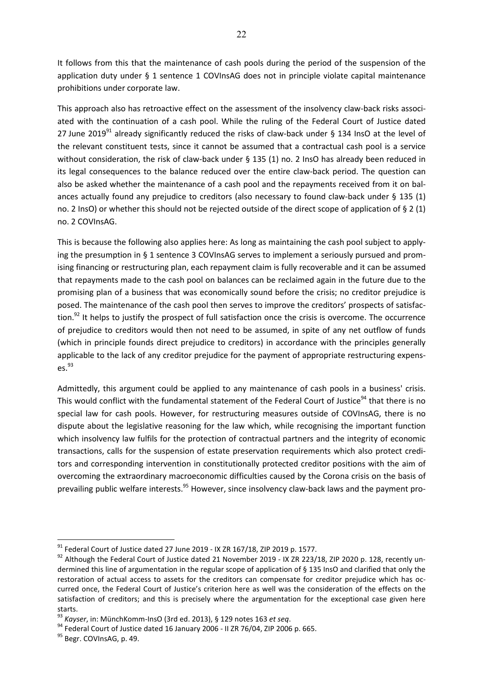It follows from this that the maintenance of cash pools during the period of the suspension of the application duty under § 1 sentence 1 COVInsAG does not in principle violate capital maintenance prohibitions under corporate law.

This approach also has retroactive effect on the assessment of the insolvency claw-back risks associated with the continuation of a cash pool. While the ruling of the Federal Court of Justice dated 27 June 2019<sup>91</sup> already significantly reduced the risks of claw-back under § 134 InsO at the level of the relevant constituent tests, since it cannot be assumed that a contractual cash pool is a service without consideration, the risk of claw-back under § 135 (1) no. 2 InsO has already been reduced in its legal consequences to the balance reduced over the entire claw-back period. The question can also be asked whether the maintenance of a cash pool and the repayments received from it on balances actually found any prejudice to creditors (also necessary to found claw-back under § 135 (1) no. 2 InsO) or whether this should not be rejected outside of the direct scope of application of § 2 (1) no. 2 COVInsAG.

This is because the following also applies here: As long as maintaining the cash pool subject to applying the presumption in § 1 sentence 3 COVInsAG serves to implement a seriously pursued and promising financing or restructuring plan, each repayment claim is fully recoverable and it can be assumed that repayments made to the cash pool on balances can be reclaimed again in the future due to the promising plan of a business that was economically sound before the crisis; no creditor prejudice is posed. The maintenance of the cash pool then serves to improve the creditors' prospects of satisfaction. $92$  It helps to justify the prospect of full satisfaction once the crisis is overcome. The occurrence of prejudice to creditors would then not need to be assumed, in spite of any net outflow of funds (which in principle founds direct prejudice to creditors) in accordance with the principles generally applicable to the lack of any creditor prejudice for the payment of appropriate restructuring expens- $\rho_S^{93}$ 

Admittedly, this argument could be applied to any maintenance of cash pools in a business' crisis. This would conflict with the fundamental statement of the Federal Court of Justice<sup>94</sup> that there is no special law for cash pools. However, for restructuring measures outside of COVInsAG, there is no dispute about the legislative reasoning for the law which, while recognising the important function which insolvency law fulfils for the protection of contractual partners and the integrity of economic transactions, calls for the suspension of estate preservation requirements which also protect creditors and corresponding intervention in constitutionally protected creditor positions with the aim of overcoming the extraordinary macroeconomic difficulties caused by the Corona crisis on the basis of prevailing public welfare interests.<sup>95</sup> However, since insolvency claw-back laws and the payment pro-

 $91$  Federal Court of Justice dated 27 June 2019 - IX ZR 167/18, ZIP 2019 p. 1577.

<sup>92</sup> Although the Federal Court of Justice dated 21 November 2019 - IX ZR 223/18, ZIP 2020 p. 128, recently undermined this line of argumentation in the regular scope of application of § 135 InsO and clarified that only the restoration of actual access to assets for the creditors can compensate for creditor prejudice which has occurred once, the Federal Court of Justice's criterion here as well was the consideration of the effects on the satisfaction of creditors; and this is precisely where the argumentation for the exceptional case given here

starts.<br><sup>93</sup> Kavser, in: MünchKomm-InsO (3rd ed. 2013), § 129 notes 163 *et seq*.

<sup>&</sup>lt;sup>94</sup> Federal Court of Justice dated 16 January 2006 - II ZR 76/04, ZIP 2006 p. 665.

<sup>&</sup>lt;sup>95</sup> Begr. COVInsAG, p. 49.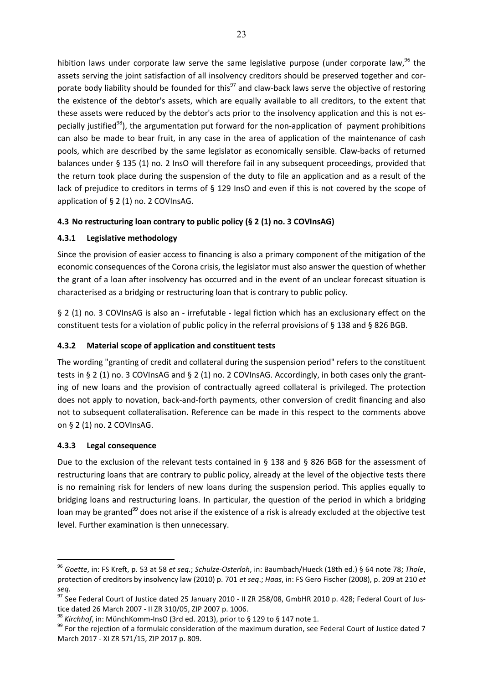hibition laws under corporate law serve the same legislative purpose (under corporate law,  $96$  the assets serving the joint satisfaction of all insolvency creditors should be preserved together and corporate body liability should be founded for this<sup>97</sup> and claw-back laws serve the objective of restoring the existence of the debtor's assets, which are equally available to all creditors, to the extent that these assets were reduced by the debtor's acts prior to the insolvency application and this is not especially justified<sup>98</sup>), the argumentation put forward for the non-application of payment prohibitions can also be made to bear fruit, in any case in the area of application of the maintenance of cash pools, which are described by the same legislator as economically sensible. Claw-backs of returned balances under § 135 (1) no. 2 InsO will therefore fail in any subsequent proceedings, provided that the return took place during the suspension of the duty to file an application and as a result of the lack of prejudice to creditors in terms of § 129 InsO and even if this is not covered by the scope of application of § 2 (1) no. 2 COVInsAG.

## **4.3 No restructuring loan contrary to public policy (§ 2 (1) no. 3 COVInsAG)**

## **4.3.1 Legislative methodology**

Since the provision of easier access to financing is also a primary component of the mitigation of the economic consequences of the Corona crisis, the legislator must also answer the question of whether the grant of a loan after insolvency has occurred and in the event of an unclear forecast situation is characterised as a bridging or restructuring loan that is contrary to public policy.

§ 2 (1) no. 3 COVInsAG is also an - irrefutable - legal fiction which has an exclusionary effect on the constituent tests for a violation of public policy in the referral provisions of § 138 and § 826 BGB.

## **4.3.2 Material scope of application and constituent tests**

The wording "granting of credit and collateral during the suspension period" refers to the constituent tests in § 2 (1) no. 3 COVInsAG and § 2 (1) no. 2 COVInsAG. Accordingly, in both cases only the granting of new loans and the provision of contractually agreed collateral is privileged. The protection does not apply to novation, back-and-forth payments, other conversion of credit financing and also not to subsequent collateralisation. Reference can be made in this respect to the comments above on § 2 (1) no. 2 COVInsAG.

## **4.3.3 Legal consequence**

 $\overline{a}$ 

Due to the exclusion of the relevant tests contained in § 138 and § 826 BGB for the assessment of restructuring loans that are contrary to public policy, already at the level of the objective tests there is no remaining risk for lenders of new loans during the suspension period. This applies equally to bridging loans and restructuring loans. In particular, the question of the period in which a bridging loan may be granted<sup>99</sup> does not arise if the existence of a risk is already excluded at the objective test level. Further examination is then unnecessary.

<sup>96</sup> *Goette*, in: FS Kreft, p. 53 at 58 *et seq.*; *Schulze-Osterloh*, in: Baumbach/Hueck (18th ed.) § 64 note 78; *Thole*, protection of creditors by insolvency law (2010) p. 701 *et seq*.; *Haas*, in: FS Gero Fischer (2008), p. 209 at 210 *et* 

*seq*. 97 See Federal Court of Justice dated 25 January 2010 - II ZR 258/08, GmbHR 2010 p. 428; Federal Court of Justice dated 26 March 2007 - II ZR 310/05, ZIP 2007 p. 1006.<br><sup>98</sup> Kirchhof, in: MünchKomm-InsO (3rd ed. 2013), prior to § 129 to § 147 note 1.

<sup>&</sup>lt;sup>99</sup> For the rejection of a formulaic consideration of the maximum duration, see Federal Court of Justice dated 7 March 2017 - XI ZR 571/15, ZIP 2017 p. 809.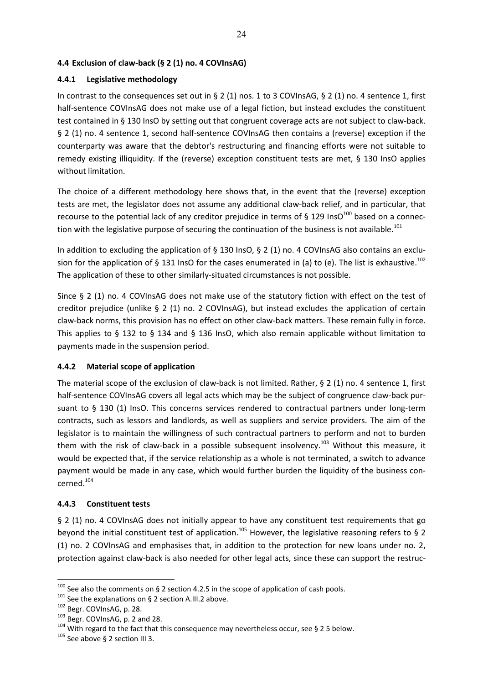### **4.4 Exclusion of claw-back (§ 2 (1) no. 4 COVInsAG)**

### **4.4.1 Legislative methodology**

In contrast to the consequences set out in § 2 (1) nos. 1 to 3 COVInsAG, § 2 (1) no. 4 sentence 1, first half-sentence COVInsAG does not make use of a legal fiction, but instead excludes the constituent test contained in § 130 InsO by setting out that congruent coverage acts are not subject to claw-back. § 2 (1) no. 4 sentence 1, second half-sentence COVInsAG then contains a (reverse) exception if the counterparty was aware that the debtor's restructuring and financing efforts were not suitable to remedy existing illiquidity. If the (reverse) exception constituent tests are met, § 130 InsO applies without limitation.

The choice of a different methodology here shows that, in the event that the (reverse) exception tests are met, the legislator does not assume any additional claw-back relief, and in particular, that recourse to the potential lack of any creditor prejudice in terms of § 129 InsO $^{100}$  based on a connection with the legislative purpose of securing the continuation of the business is not available.<sup>101</sup>

In addition to excluding the application of  $\S$  130 InsO,  $\S$  2 (1) no. 4 COVInsAG also contains an exclusion for the application of § 131 InsO for the cases enumerated in (a) to (e). The list is exhaustive.<sup>102</sup> The application of these to other similarly-situated circumstances is not possible.

Since § 2 (1) no. 4 COVInsAG does not make use of the statutory fiction with effect on the test of creditor prejudice (unlike § 2 (1) no. 2 COVInsAG), but instead excludes the application of certain claw-back norms, this provision has no effect on other claw-back matters. These remain fully in force. This applies to § 132 to § 134 and § 136 InsO, which also remain applicable without limitation to payments made in the suspension period.

### **4.4.2 Material scope of application**

The material scope of the exclusion of claw-back is not limited. Rather, § 2 (1) no. 4 sentence 1, first half-sentence COVInsAG covers all legal acts which may be the subject of congruence claw-back pursuant to § 130 (1) InsO. This concerns services rendered to contractual partners under long-term contracts, such as lessors and landlords, as well as suppliers and service providers. The aim of the legislator is to maintain the willingness of such contractual partners to perform and not to burden them with the risk of claw-back in a possible subsequent insolvency.<sup>103</sup> Without this measure, it would be expected that, if the service relationship as a whole is not terminated, a switch to advance payment would be made in any case, which would further burden the liquidity of the business concerned.104

### **4.4.3 Constituent tests**

§ 2 (1) no. 4 COVInsAG does not initially appear to have any constituent test requirements that go beyond the initial constituent test of application.<sup>105</sup> However, the legislative reasoning refers to § 2 (1) no. 2 COVInsAG and emphasises that, in addition to the protection for new loans under no. 2, protection against claw-back is also needed for other legal acts, since these can support the restruc-

<sup>&</sup>lt;sup>100</sup> See also the comments on § 2 section 4.2.5 in the scope of application of cash pools.<br><sup>101</sup> See the explanations on § 2 section A.III.2 above.<br><sup>102</sup> Begr. COVInsAG, p. 28.<br><sup>103</sup> Begr. COVInsAG, p. 2 and 28.<br><sup>104</sup> Wi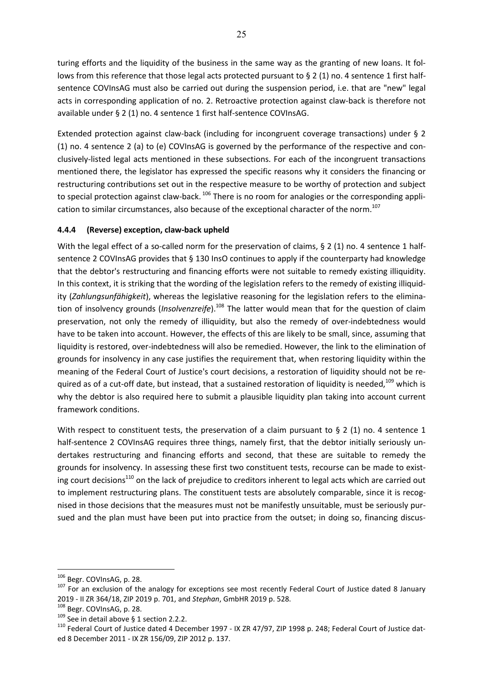turing efforts and the liquidity of the business in the same way as the granting of new loans. It follows from this reference that those legal acts protected pursuant to § 2 (1) no. 4 sentence 1 first halfsentence COVInsAG must also be carried out during the suspension period, i.e. that are "new" legal acts in corresponding application of no. 2. Retroactive protection against claw-back is therefore not available under § 2 (1) no. 4 sentence 1 first half-sentence COVInsAG.

Extended protection against claw-back (including for incongruent coverage transactions) under § 2 (1) no. 4 sentence 2 (a) to (e) COVInsAG is governed by the performance of the respective and conclusively-listed legal acts mentioned in these subsections. For each of the incongruent transactions mentioned there, the legislator has expressed the specific reasons why it considers the financing or restructuring contributions set out in the respective measure to be worthy of protection and subject to special protection against claw-back.<sup>106</sup> There is no room for analogies or the corresponding application to similar circumstances, also because of the exceptional character of the norm.<sup>107</sup>

## **4.4.4 (Reverse) exception, claw-back upheld**

With the legal effect of a so-called norm for the preservation of claims, § 2 (1) no. 4 sentence 1 halfsentence 2 COVInsAG provides that § 130 InsO continues to apply if the counterparty had knowledge that the debtor's restructuring and financing efforts were not suitable to remedy existing illiquidity. In this context, it is striking that the wording of the legislation refers to the remedy of existing illiquidity (*Zahlungsunfähigkeit*), whereas the legislative reasoning for the legislation refers to the elimination of insolvency grounds (*Insolvenzreife*).<sup>108</sup> The latter would mean that for the question of claim preservation, not only the remedy of illiquidity, but also the remedy of over-indebtedness would have to be taken into account. However, the effects of this are likely to be small, since, assuming that liquidity is restored, over-indebtedness will also be remedied. However, the link to the elimination of grounds for insolvency in any case justifies the requirement that, when restoring liquidity within the meaning of the Federal Court of Justice's court decisions, a restoration of liquidity should not be required as of a cut-off date, but instead, that a sustained restoration of liquidity is needed,<sup>109</sup> which is why the debtor is also required here to submit a plausible liquidity plan taking into account current framework conditions.

With respect to constituent tests, the preservation of a claim pursuant to § 2 (1) no. 4 sentence 1 half-sentence 2 COVInsAG requires three things, namely first, that the debtor initially seriously undertakes restructuring and financing efforts and second, that these are suitable to remedy the grounds for insolvency. In assessing these first two constituent tests, recourse can be made to existing court decisions<sup>110</sup> on the lack of prejudice to creditors inherent to legal acts which are carried out to implement restructuring plans. The constituent tests are absolutely comparable, since it is recognised in those decisions that the measures must not be manifestly unsuitable, must be seriously pursued and the plan must have been put into practice from the outset; in doing so, financing discus-

<sup>&</sup>lt;sup>106</sup> Begr. COVInsAG, p. 28.<br><sup>107</sup> For an exclusion of the analogy for exceptions see most recently Federal Court of Justice dated 8 January 2019 - II ZR 364/18, ZIP 2019 p. 701, and Stephan, GmbHR 2019 p. 528.<br><sup>108</sup> Begr. COVInsAG, p. 28.<br><sup>109</sup> See in detail above § 1 section 2.2.2.<br><sup>110</sup> Federal Court of Justice dated 4 December 1997 - IX ZR 47/97, ZIP 1998 p

ed 8 December 2011 - IX ZR 156/09, ZIP 2012 p. 137.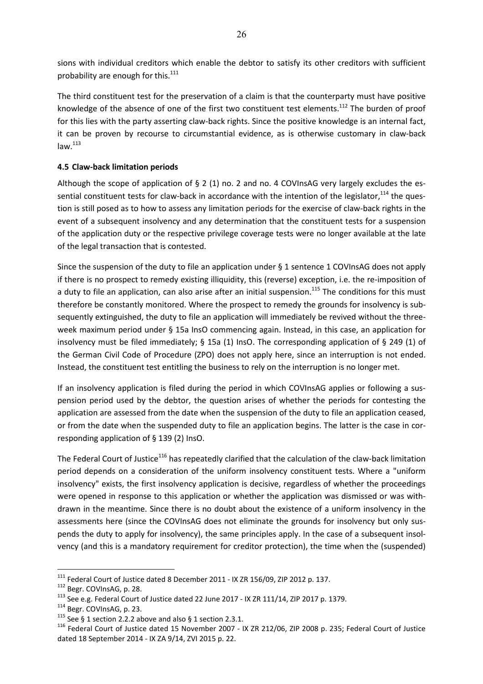sions with individual creditors which enable the debtor to satisfy its other creditors with sufficient probability are enough for this.<sup>111</sup>

The third constituent test for the preservation of a claim is that the counterparty must have positive knowledge of the absence of one of the first two constituent test elements.<sup>112</sup> The burden of proof for this lies with the party asserting claw-back rights. Since the positive knowledge is an internal fact, it can be proven by recourse to circumstantial evidence, as is otherwise customary in claw-back  $law.<sup>113</sup>$ 

### **4.5 Claw-back limitation periods**

Although the scope of application of § 2 (1) no. 2 and no. 4 COVInsAG very largely excludes the essential constituent tests for claw-back in accordance with the intention of the legislator, $^{114}$  the question is still posed as to how to assess any limitation periods for the exercise of claw-back rights in the event of a subsequent insolvency and any determination that the constituent tests for a suspension of the application duty or the respective privilege coverage tests were no longer available at the late of the legal transaction that is contested.

Since the suspension of the duty to file an application under § 1 sentence 1 COVInsAG does not apply if there is no prospect to remedy existing illiquidity, this (reverse) exception, i.e. the re-imposition of a duty to file an application, can also arise after an initial suspension.<sup>115</sup> The conditions for this must therefore be constantly monitored. Where the prospect to remedy the grounds for insolvency is subsequently extinguished, the duty to file an application will immediately be revived without the threeweek maximum period under § 15a InsO commencing again. Instead, in this case, an application for insolvency must be filed immediately; § 15a (1) InsO. The corresponding application of § 249 (1) of the German Civil Code of Procedure (ZPO) does not apply here, since an interruption is not ended. Instead, the constituent test entitling the business to rely on the interruption is no longer met.

If an insolvency application is filed during the period in which COVInsAG applies or following a suspension period used by the debtor, the question arises of whether the periods for contesting the application are assessed from the date when the suspension of the duty to file an application ceased, or from the date when the suspended duty to file an application begins. The latter is the case in corresponding application of § 139 (2) InsO.

The Federal Court of Justice<sup>116</sup> has repeatedly clarified that the calculation of the claw-back limitation period depends on a consideration of the uniform insolvency constituent tests. Where a "uniform insolvency" exists, the first insolvency application is decisive, regardless of whether the proceedings were opened in response to this application or whether the application was dismissed or was withdrawn in the meantime. Since there is no doubt about the existence of a uniform insolvency in the assessments here (since the COVInsAG does not eliminate the grounds for insolvency but only suspends the duty to apply for insolvency), the same principles apply. In the case of a subsequent insolvency (and this is a mandatory requirement for creditor protection), the time when the (suspended)

<sup>&</sup>lt;sup>111</sup> Federal Court of Justice dated 8 December 2011 - IX ZR 156/09, ZIP 2012 p. 137.<br><sup>112</sup> Begr. COVInsAG, p. 28.<br><sup>113</sup> See e.g. Federal Court of Justice dated 22 June 2017 - IX ZR 111/14, ZIP 2017 p. 1379.<br><sup>114</sup> Begr. C dated 18 September 2014 - IX ZA 9/14, ZVI 2015 p. 22.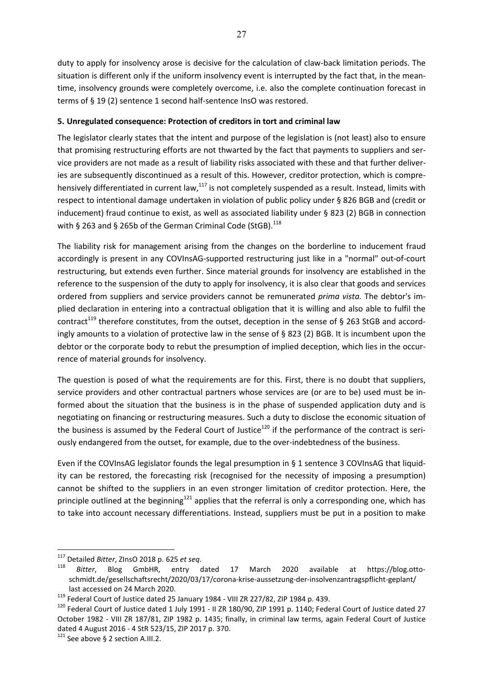duty to apply for insolvency arose is decisive for the calculation of claw-back limitation periods. The situation is different only if the uniform insolvency event is interrupted by the fact that, in the meantime, insolvency grounds were completely overcome, i.e. also the complete continuation forecast in terms of § 19 (2) sentence 1 second half-sentence InsO was restored.

## **5. Unregulated consequence: Protection of creditors in tort and criminal law**

The legislator clearly states that the intent and purpose of the legislation is (not least) also to ensure that promising restructuring efforts are not thwarted by the fact that payments to suppliers and service providers are not made as a result of liability risks associated with these and that further deliveries are subsequently discontinued as a result of this. However, creditor protection, which is comprehensively differentiated in current law,<sup>117</sup> is not completely suspended as a result. Instead, limits with respect to intentional damage undertaken in violation of public policy under § 826 BGB and (credit or inducement) fraud continue to exist, as well as associated liability under § 823 (2) BGB in connection with § 263 and § 265b of the German Criminal Code (StGB).<sup>118</sup>

The liability risk for management arising from the changes on the borderline to inducement fraud accordingly is present in any COVInsAG-supported restructuring just like in a "normal" out-of-court restructuring, but extends even further. Since material grounds for insolvency are established in the reference to the suspension of the duty to apply for insolvency, it is also clear that goods and services ordered from suppliers and service providers cannot be remunerated *prima vista.* The debtor's implied declaration in entering into a contractual obligation that it is willing and also able to fulfil the contract<sup>119</sup> therefore constitutes, from the outset, deception in the sense of § 263 StGB and accordingly amounts to a violation of protective law in the sense of § 823 (2) BGB. It is incumbent upon the debtor or the corporate body to rebut the presumption of implied deception, which lies in the occurrence of material grounds for insolvency.

The question is posed of what the requirements are for this. First, there is no doubt that suppliers, service providers and other contractual partners whose services are (or are to be) used must be informed about the situation that the business is in the phase of suspended application duty and is negotiating on financing or restructuring measures. Such a duty to disclose the economic situation of the business is assumed by the Federal Court of Justice<sup>120</sup> if the performance of the contract is seriously endangered from the outset, for example, due to the over-indebtedness of the business.

Even if the COVInsAG legislator founds the legal presumption in § 1 sentence 3 COVInsAG that liquidity can be restored, the forecasting risk (recognised for the necessity of imposing a presumption) cannot be shifted to the suppliers in an even stronger limitation of creditor protection. Here, the principle outlined at the beginning<sup>121</sup> applies that the referral is only a corresponding one, which has to take into account necessary differentiations. Instead, suppliers must be put in a position to make

<sup>&</sup>lt;sup>117</sup> Detailed *Bitter*, ZInsO 2018 p. 625 *et seq*.<br><sup>118</sup> Bitter, Blog GmbHR, entry dated 17 March 2020 available at https://blog.ottoschmidt.de/gesellschaftsrecht/2020/03/17/corona-krise-aussetzung-der-insolvenzantragspflicht-geplant/

last accessed on 24 March 2020.<br><sup>119</sup> Federal Court of Justice dated 25 January 1984 - VIII ZR 227/82, ZIP 1984 p. 439.<br><sup>120</sup> Federal Court of Justice dated 1 July 1991 - II ZR 180/90, ZIP 1991 p. 1140; Federal Court of Ju October 1982 - VIII ZR 187/81, ZIP 1982 p. 1435; finally, in criminal law terms, again Federal Court of Justice dated 4 August 2016 - 4 StR 523/15, ZIP 2017 p. 370.

 $121$  See above § 2 section A.III.2.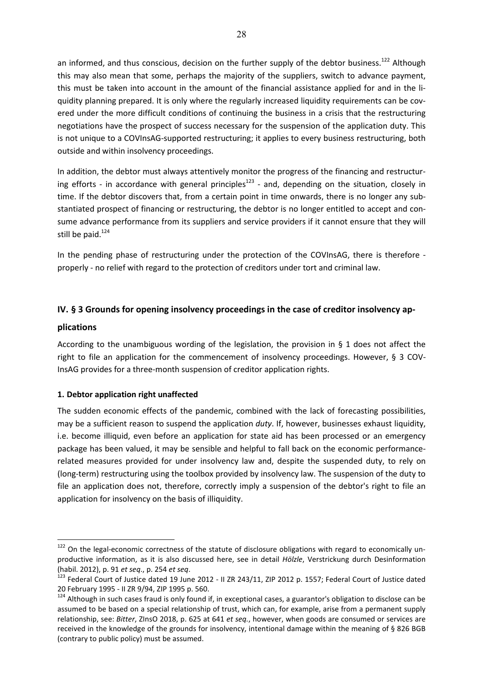an informed, and thus conscious, decision on the further supply of the debtor business.<sup>122</sup> Although this may also mean that some, perhaps the majority of the suppliers, switch to advance payment, this must be taken into account in the amount of the financial assistance applied for and in the liquidity planning prepared. It is only where the regularly increased liquidity requirements can be covered under the more difficult conditions of continuing the business in a crisis that the restructuring negotiations have the prospect of success necessary for the suspension of the application duty. This is not unique to a COVInsAG-supported restructuring; it applies to every business restructuring, both outside and within insolvency proceedings.

In addition, the debtor must always attentively monitor the progress of the financing and restructuring efforts - in accordance with general principles<sup>123</sup> - and, depending on the situation, closely in time. If the debtor discovers that, from a certain point in time onwards, there is no longer any substantiated prospect of financing or restructuring, the debtor is no longer entitled to accept and consume advance performance from its suppliers and service providers if it cannot ensure that they will still be paid.<sup>124</sup>

In the pending phase of restructuring under the protection of the COVInsAG, there is therefore properly - no relief with regard to the protection of creditors under tort and criminal law.

## **IV. § 3 Grounds for opening insolvency proceedings in the case of creditor insolvency ap-**

### **plications**

 $\overline{a}$ 

According to the unambiguous wording of the legislation, the provision in § 1 does not affect the right to file an application for the commencement of insolvency proceedings. However, § 3 COV-InsAG provides for a three-month suspension of creditor application rights.

## **1. Debtor application right unaffected**

The sudden economic effects of the pandemic, combined with the lack of forecasting possibilities, may be a sufficient reason to suspend the application *duty*. If, however, businesses exhaust liquidity, i.e. become illiquid, even before an application for state aid has been processed or an emergency package has been valued, it may be sensible and helpful to fall back on the economic performancerelated measures provided for under insolvency law and, despite the suspended duty, to rely on (long-term) restructuring using the toolbox provided by insolvency law. The suspension of the duty to file an application does not, therefore, correctly imply a suspension of the debtor's right to file an application for insolvency on the basis of illiquidity.

<sup>&</sup>lt;sup>122</sup> On the legal-economic correctness of the statute of disclosure obligations with regard to economically unproductive information, as it is also discussed here, see in detail *Hölzle*, Verstrickung durch Desinformation

<sup>(</sup>habil. 2012), p. 91 *et seq.*, p. 254 *et seq*.<br><sup>123</sup> Federal Court of Justice dated 19 June 2012 - II ZR 243/11, ZIP 2012 p. 1557; Federal Court of Justice dated 20 February 1995 - II ZR 9/94, ZIP 1995 p. 560.

<sup>&</sup>lt;sup>124</sup> Although in such cases fraud is only found if, in exceptional cases, a guarantor's obligation to disclose can be assumed to be based on a special relationship of trust, which can, for example, arise from a permanent supply relationship, see: *Bitter*, ZInsO 2018, p. 625 at 641 *et seq.*, however, when goods are consumed or services are received in the knowledge of the grounds for insolvency, intentional damage within the meaning of § 826 BGB (contrary to public policy) must be assumed.